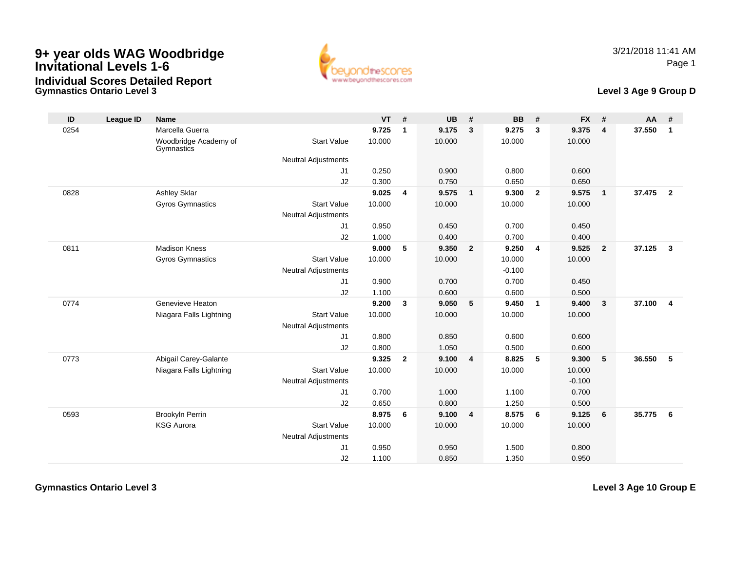



## **Level 3 Age 9 Group D**

| ID   | League ID | <b>Name</b>                         |                            | <b>VT</b> | #              | <b>UB</b> | #              | <b>BB</b> | #                       | <b>FX</b> | #              | <b>AA</b> | #                       |
|------|-----------|-------------------------------------|----------------------------|-----------|----------------|-----------|----------------|-----------|-------------------------|-----------|----------------|-----------|-------------------------|
| 0254 |           | Marcella Guerra                     |                            | 9.725     | $\mathbf{1}$   | 9.175     | $\mathbf{3}$   | 9.275     | $\overline{\mathbf{3}}$ | 9.375     | $\overline{4}$ | 37.550    | $\mathbf{1}$            |
|      |           | Woodbridge Academy of<br>Gymnastics | <b>Start Value</b>         | 10.000    |                | 10.000    |                | 10.000    |                         | 10.000    |                |           |                         |
|      |           |                                     | Neutral Adjustments        |           |                |           |                |           |                         |           |                |           |                         |
|      |           |                                     | J1                         | 0.250     |                | 0.900     |                | 0.800     |                         | 0.600     |                |           |                         |
|      |           |                                     | J2                         | 0.300     |                | 0.750     |                | 0.650     |                         | 0.650     |                |           |                         |
| 0828 |           | Ashley Sklar                        |                            | 9.025     | 4              | 9.575     | $\overline{1}$ | 9.300     | $\overline{\mathbf{2}}$ | 9.575     | $\mathbf{1}$   | 37.475 2  |                         |
|      |           | Gyros Gymnastics                    | <b>Start Value</b>         | 10.000    |                | 10.000    |                | 10.000    |                         | 10.000    |                |           |                         |
|      |           |                                     | <b>Neutral Adjustments</b> |           |                |           |                |           |                         |           |                |           |                         |
|      |           |                                     | J <sub>1</sub>             | 0.950     |                | 0.450     |                | 0.700     |                         | 0.450     |                |           |                         |
|      |           |                                     | J2                         | 1.000     |                | 0.400     |                | 0.700     |                         | 0.400     |                |           |                         |
| 0811 |           | <b>Madison Kness</b>                |                            | 9.000     | 5              | 9.350     | $\overline{2}$ | 9.250     | $\overline{4}$          | 9.525     | $\overline{2}$ | 37.125    | $\overline{\mathbf{3}}$ |
|      |           | Gyros Gymnastics                    | <b>Start Value</b>         | 10.000    |                | 10.000    |                | 10.000    |                         | 10.000    |                |           |                         |
|      |           |                                     | Neutral Adjustments        |           |                |           |                | $-0.100$  |                         |           |                |           |                         |
|      |           |                                     | J1                         | 0.900     |                | 0.700     |                | 0.700     |                         | 0.450     |                |           |                         |
|      |           |                                     | J2                         | 1.100     |                | 0.600     |                | 0.600     |                         | 0.500     |                |           |                         |
| 0774 |           | Genevieve Heaton                    |                            | 9.200     | $\mathbf{3}$   | 9.050     | 5              | 9.450     | $\overline{1}$          | 9.400     | $\mathbf{3}$   | 37.100    | $\overline{4}$          |
|      |           | Niagara Falls Lightning             | <b>Start Value</b>         | 10.000    |                | 10.000    |                | 10.000    |                         | 10.000    |                |           |                         |
|      |           |                                     | <b>Neutral Adjustments</b> |           |                |           |                |           |                         |           |                |           |                         |
|      |           |                                     | J <sub>1</sub>             | 0.800     |                | 0.850     |                | 0.600     |                         | 0.600     |                |           |                         |
|      |           |                                     | J2                         | 0.800     |                | 1.050     |                | 0.500     |                         | 0.600     |                |           |                         |
| 0773 |           | Abigail Carey-Galante               |                            | 9.325     | $\overline{2}$ | 9.100     | $\overline{4}$ | 8.825     | 5                       | 9.300     | 5              | 36.550    | 5                       |
|      |           | Niagara Falls Lightning             | <b>Start Value</b>         | 10.000    |                | 10.000    |                | 10.000    |                         | 10.000    |                |           |                         |
|      |           |                                     | Neutral Adjustments        |           |                |           |                |           |                         | $-0.100$  |                |           |                         |
|      |           |                                     | J1                         | 0.700     |                | 1.000     |                | 1.100     |                         | 0.700     |                |           |                         |
|      |           |                                     | J2                         | 0.650     |                | 0.800     |                | 1.250     |                         | 0.500     |                |           |                         |
| 0593 |           | Brookyln Perrin                     |                            | 8.975     | 6              | 9.100     | 4              | 8.575     | - 6                     | 9.125     | 6              | 35.775    | 6                       |
|      |           | <b>KSG Aurora</b>                   | <b>Start Value</b>         | 10.000    |                | 10.000    |                | 10.000    |                         | 10.000    |                |           |                         |
|      |           |                                     | <b>Neutral Adjustments</b> |           |                |           |                |           |                         |           |                |           |                         |
|      |           |                                     | J <sub>1</sub>             | 0.950     |                | 0.950     |                | 1.500     |                         | 0.800     |                |           |                         |
|      |           |                                     | J2                         | 1.100     |                | 0.850     |                | 1.350     |                         | 0.950     |                |           |                         |

**Gymnastics Ontario Level 3**

**Level 3 Age 10 Group E**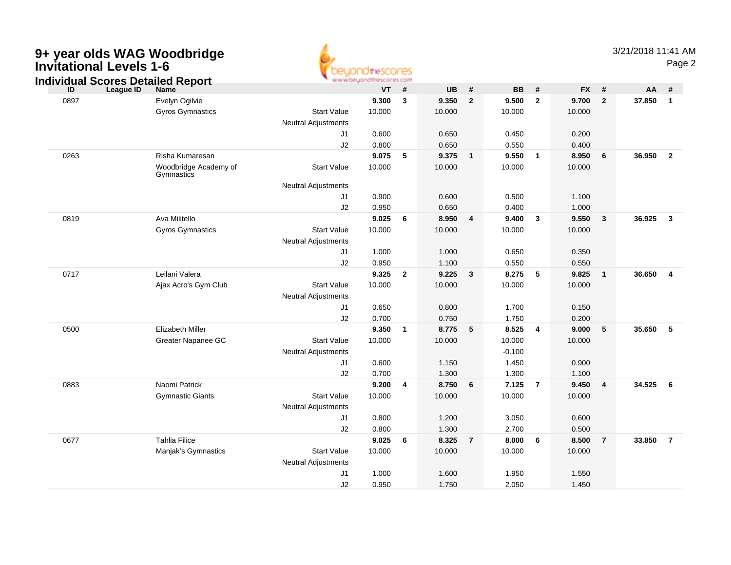| <b>Invitational Levels 1-6</b> | 9+ year olds WAG Woodbridge                                          |                                                  | <b>thescores</b><br>www.beyondthescores.com |                |                 |                         |                   |                         |                 |                | 3/21/2018 11:41 AM | Page 2         |
|--------------------------------|----------------------------------------------------------------------|--------------------------------------------------|---------------------------------------------|----------------|-----------------|-------------------------|-------------------|-------------------------|-----------------|----------------|--------------------|----------------|
| ID                             | <b>Individual Scores Detailed Report</b><br>League ID<br><b>Name</b> |                                                  | <b>VT</b>                                   | #              | <b>UB</b>       | $\pmb{\#}$              | <b>BB</b>         | #                       | <b>FX</b>       | #              | AA                 | #              |
| 0897                           | Evelyn Ogilvie<br>Gyros Gymnastics                                   | <b>Start Value</b><br><b>Neutral Adjustments</b> | 9.300<br>10.000                             | $\mathbf{3}$   | 9.350<br>10.000 | $\overline{2}$          | 9.500<br>10.000   | $\mathbf{2}$            | 9.700<br>10.000 | $\mathbf{2}$   | 37.850             | $\mathbf{1}$   |
|                                |                                                                      | J1<br>J2                                         | 0.600<br>0.800                              |                | 0.650<br>0.650  |                         | 0.450<br>0.550    |                         | 0.200<br>0.400  |                |                    |                |
| 0263                           | Risha Kumaresan<br>Woodbridge Academy of                             | <b>Start Value</b>                               | 9.075<br>10.000                             | 5              | 9.375<br>10.000 | $\mathbf{1}$            | 9.550<br>10.000   | $\overline{\mathbf{1}}$ | 8.950<br>10.000 | 6              | 36.950             | $\overline{2}$ |
|                                | Gymnastics                                                           | <b>Neutral Adjustments</b>                       |                                             |                |                 |                         |                   |                         |                 |                |                    |                |
|                                |                                                                      | J1<br>J2                                         | 0.900<br>0.950                              |                | 0.600<br>0.650  |                         | 0.500<br>0.400    |                         | 1.100<br>1.000  |                |                    |                |
| 0819                           | Ava Militello<br><b>Gyros Gymnastics</b>                             | <b>Start Value</b>                               | 9.025<br>10.000                             | 6              | 8.950<br>10.000 | $\overline{\mathbf{4}}$ | 9.400<br>10.000   | $\mathbf{3}$            | 9.550<br>10.000 | $\mathbf{3}$   | 36.925             | 3              |
|                                |                                                                      | <b>Neutral Adjustments</b>                       |                                             |                |                 |                         |                   |                         |                 |                |                    |                |
|                                |                                                                      | J1<br>J2                                         | 1.000<br>0.950                              |                | 1.000<br>1.100  |                         | 0.650<br>0.550    |                         | 0.350<br>0.550  |                |                    |                |
| 0717                           | Leilani Valera<br>Ajax Acro's Gym Club                               | <b>Start Value</b><br><b>Neutral Adjustments</b> | 9.325<br>10.000                             | $\overline{2}$ | 9.225<br>10.000 | $\mathbf{3}$            | 8.275<br>10.000   | 5                       | 9.825<br>10.000 | $\mathbf{1}$   | 36.650             | $\overline{4}$ |
|                                |                                                                      | J1<br>J2                                         | 0.650<br>0.700                              |                | 0.800<br>0.750  |                         | 1.700<br>1.750    |                         | 0.150<br>0.200  |                |                    |                |
| 0500                           | <b>Elizabeth Miller</b><br>Greater Napanee GC                        | <b>Start Value</b>                               | 9.350<br>10.000                             | $\overline{1}$ | 8.775<br>10.000 | 5                       | 8.525<br>10.000   | $\overline{4}$          | 9.000<br>10.000 | 5              | 35.650             | 5              |
|                                |                                                                      | <b>Neutral Adjustments</b><br>J1                 | 0.600                                       |                | 1.150           |                         | $-0.100$<br>1.450 |                         | 0.900           |                |                    |                |
|                                |                                                                      | J2                                               | 0.700                                       |                | 1.300           |                         | 1.300             |                         | 1.100           |                |                    |                |
| 0883                           | Naomi Patrick<br><b>Gymnastic Giants</b>                             | <b>Start Value</b><br><b>Neutral Adjustments</b> | 9.200<br>10.000                             | $\overline{4}$ | 8.750<br>10.000 | 6                       | 7.125<br>10.000   | $\overline{7}$          | 9.450<br>10.000 | $\overline{4}$ | 34.525             | 6              |
|                                |                                                                      | J1<br>J2                                         | 0.800<br>0.800                              |                | 1.200<br>1.300  |                         | 3.050<br>2.700    |                         | 0.600<br>0.500  |                |                    |                |
| 0677                           | <b>Tahlia Filice</b><br>Manjak's Gymnastics                          | <b>Start Value</b><br><b>Neutral Adjustments</b> | 9.025<br>10.000                             | 6              | 8.325<br>10.000 | $\overline{7}$          | 8.000<br>10.000   | 6                       | 8.500<br>10.000 | $\overline{7}$ | 33.850             | $\overline{7}$ |
|                                |                                                                      | J <sub>1</sub><br>J2                             | 1.000<br>0.950                              |                | 1.600<br>1.750  |                         | 1.950<br>2.050    |                         | 1.550<br>1.450  |                |                    |                |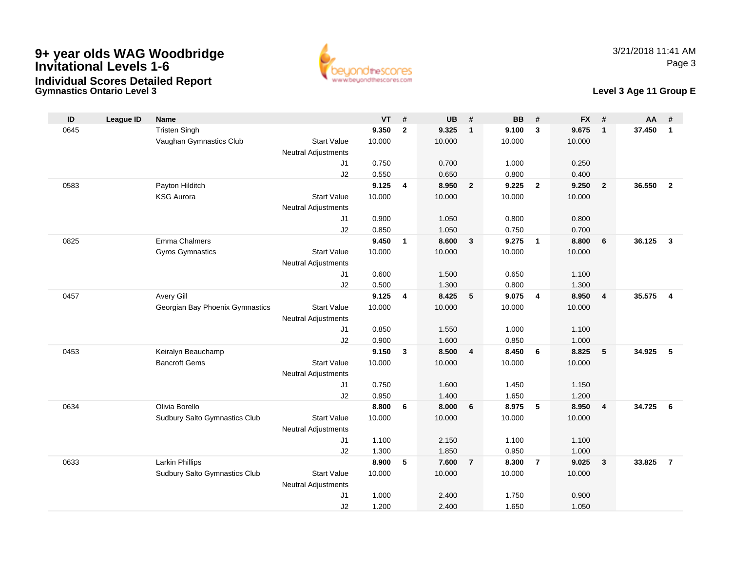

#### **Gymnastics Ontario Level 3Individual Scores Detailed Report**

## **Level 3 Age 11 Group E**

| ID   | League ID | <b>Name</b>                     |                            | <b>VT</b>      | #            | <b>UB</b>      | #                       | <b>BB</b>      | #                       | <b>FX</b>      | #                       | <b>AA</b> | #              |
|------|-----------|---------------------------------|----------------------------|----------------|--------------|----------------|-------------------------|----------------|-------------------------|----------------|-------------------------|-----------|----------------|
| 0645 |           | <b>Tristen Singh</b>            |                            | 9.350          | $\mathbf{2}$ | 9.325          | $\overline{1}$          | 9.100          | 3                       | 9.675          | $\mathbf{1}$            | 37.450    | $\mathbf{1}$   |
|      |           | Vaughan Gymnastics Club         | <b>Start Value</b>         | 10.000         |              | 10.000         |                         | 10.000         |                         | 10.000         |                         |           |                |
|      |           |                                 | Neutral Adjustments        |                |              |                |                         |                |                         |                |                         |           |                |
|      |           |                                 | J1                         | 0.750          |              | 0.700          |                         | 1.000          |                         | 0.250          |                         |           |                |
|      |           |                                 | J2                         | 0.550          |              | 0.650          |                         | 0.800          |                         | 0.400          |                         |           |                |
| 0583 |           | Payton Hilditch                 |                            | 9.125          | 4            | 8.950          | $\overline{\mathbf{2}}$ | 9.225          | $\overline{\mathbf{2}}$ | 9.250          | $\overline{2}$          | 36.550    | $\overline{2}$ |
|      |           | <b>KSG Aurora</b>               | <b>Start Value</b>         | 10.000         |              | 10.000         |                         | 10.000         |                         | 10.000         |                         |           |                |
|      |           |                                 | <b>Neutral Adjustments</b> |                |              |                |                         |                |                         |                |                         |           |                |
|      |           |                                 | J1                         | 0.900          |              | 1.050          |                         | 0.800          |                         | 0.800          |                         |           |                |
|      |           |                                 | J2                         | 0.850          |              | 1.050          |                         | 0.750          |                         | 0.700          |                         |           |                |
| 0825 |           | Emma Chalmers                   |                            | 9.450          | $\mathbf{1}$ | 8.600          | $\mathbf{3}$            | 9.275          | $\overline{1}$          | 8.800          | 6                       | 36.125    | $\mathbf{3}$   |
|      |           | <b>Gyros Gymnastics</b>         | <b>Start Value</b>         | 10.000         |              | 10.000         |                         | 10.000         |                         | 10.000         |                         |           |                |
|      |           |                                 | <b>Neutral Adjustments</b> |                |              |                |                         |                |                         |                |                         |           |                |
|      |           |                                 | J1                         | 0.600          |              | 1.500          |                         | 0.650          |                         | 1.100          |                         |           |                |
|      |           |                                 | J2                         | 0.500          |              | 1.300          |                         | 0.800          |                         | 1.300          |                         |           |                |
| 0457 |           | Avery Gill                      |                            | 9.125          | 4            | 8.425          | 5                       | 9.075          | 4                       | 8.950          | $\overline{\mathbf{4}}$ | 35.575    | $\overline{4}$ |
|      |           | Georgian Bay Phoenix Gymnastics | <b>Start Value</b>         | 10.000         |              | 10.000         |                         | 10.000         |                         | 10.000         |                         |           |                |
|      |           |                                 | <b>Neutral Adjustments</b> |                |              |                |                         |                |                         |                |                         |           |                |
|      |           |                                 | J1                         | 0.850          |              | 1.550          |                         | 1.000          |                         | 1.100          |                         |           |                |
|      |           |                                 | J2                         | 0.900          |              | 1.600          |                         | 0.850          |                         | 1.000          |                         |           |                |
| 0453 |           | Keiralyn Beauchamp              |                            | 9.150          | $\mathbf{3}$ | 8.500          | $\overline{4}$          | 8.450          | 6                       | 8.825          | 5                       | 34.925    | 5              |
|      |           | <b>Bancroft Gems</b>            | <b>Start Value</b>         | 10.000         |              | 10.000         |                         | 10.000         |                         | 10.000         |                         |           |                |
|      |           |                                 | <b>Neutral Adjustments</b> |                |              |                |                         |                |                         |                |                         |           |                |
|      |           |                                 | J1                         | 0.750          |              | 1.600          |                         | 1.450          |                         | 1.150          |                         |           |                |
|      |           |                                 | J2                         | 0.950          |              | 1.400          |                         | 1.650          |                         | 1.200          |                         |           |                |
| 0634 |           | Olivia Borello                  |                            | 8.800          | 6            | 8.000          | 6                       | 8.975          | 5                       | 8.950          | $\overline{4}$          | 34.725    | - 6            |
|      |           | Sudbury Salto Gymnastics Club   | <b>Start Value</b>         | 10.000         |              | 10.000         |                         | 10.000         |                         | 10.000         |                         |           |                |
|      |           |                                 | <b>Neutral Adjustments</b> |                |              |                |                         |                |                         |                |                         |           |                |
|      |           |                                 | J1                         | 1.100          |              | 2.150          |                         | 1.100          |                         | 1.100          |                         |           |                |
|      |           |                                 | J2                         | 1.300<br>8.900 |              | 1.850          |                         | 0.950          |                         | 1.000          |                         |           |                |
| 0633 |           | <b>Larkin Phillips</b>          |                            |                | 5            | 7.600          | $\overline{7}$          | 8.300          | $\overline{7}$          | 9.025          | $\mathbf{3}$            | 33.825    | $\overline{7}$ |
|      |           | Sudbury Salto Gymnastics Club   | <b>Start Value</b>         | 10.000         |              | 10.000         |                         | 10.000         |                         | 10.000         |                         |           |                |
|      |           |                                 | Neutral Adjustments        |                |              |                |                         |                |                         |                |                         |           |                |
|      |           |                                 | J1<br>J2                   | 1.000<br>1.200 |              | 2.400<br>2.400 |                         | 1.750<br>1.650 |                         | 0.900<br>1.050 |                         |           |                |
|      |           |                                 |                            |                |              |                |                         |                |                         |                |                         |           |                |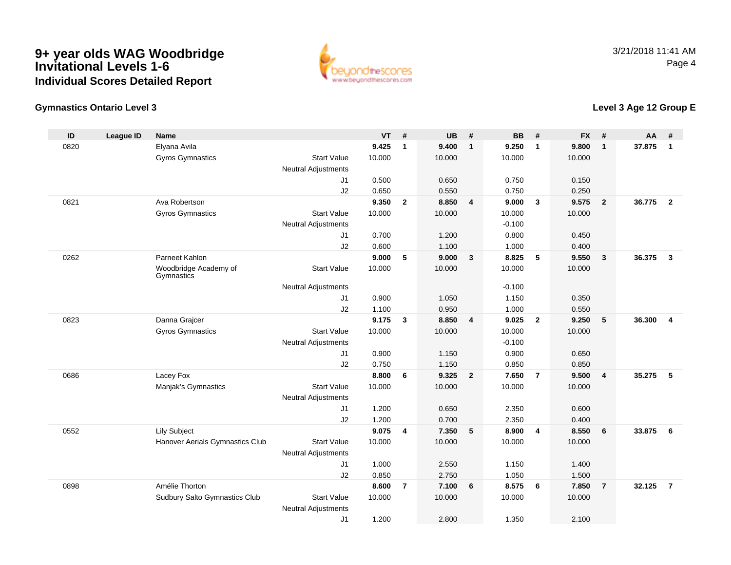

# **Gymnastics Ontario Level 3**

# **Level 3 Age 12 Group E**

| ID   | <b>League ID</b> | <b>Name</b>                         |                                           | <b>VT</b> | #                       | <b>UB</b> | #                       | <b>BB</b> | #                       | <b>FX</b> | #                       | <b>AA</b> | #                       |
|------|------------------|-------------------------------------|-------------------------------------------|-----------|-------------------------|-----------|-------------------------|-----------|-------------------------|-----------|-------------------------|-----------|-------------------------|
| 0820 |                  | Elyana Avila                        |                                           | 9.425     | $\mathbf 1$             | 9.400     | $\overline{1}$          | 9.250     | $\mathbf{1}$            | 9.800     | $\mathbf{1}$            | 37.875    | $\mathbf{1}$            |
|      |                  | <b>Gyros Gymnastics</b>             | <b>Start Value</b>                        | 10.000    |                         | 10.000    |                         | 10.000    |                         | 10.000    |                         |           |                         |
|      |                  |                                     | <b>Neutral Adjustments</b>                |           |                         |           |                         |           |                         |           |                         |           |                         |
|      |                  |                                     | J1                                        | 0.500     |                         | 0.650     |                         | 0.750     |                         | 0.150     |                         |           |                         |
|      |                  |                                     | J2                                        | 0.650     |                         | 0.550     |                         | 0.750     |                         | 0.250     |                         |           |                         |
| 0821 |                  | Ava Robertson                       |                                           | 9.350     | $\overline{2}$          | 8.850     | $\overline{4}$          | 9.000     | $\overline{\mathbf{3}}$ | 9.575     | $\overline{2}$          | 36.775    | $\overline{\mathbf{2}}$ |
|      |                  | <b>Gyros Gymnastics</b>             | <b>Start Value</b>                        | 10.000    |                         | 10.000    |                         | 10.000    |                         | 10.000    |                         |           |                         |
|      |                  |                                     | <b>Neutral Adjustments</b>                |           |                         |           |                         | $-0.100$  |                         |           |                         |           |                         |
|      |                  |                                     | J <sub>1</sub>                            | 0.700     |                         | 1.200     |                         | 0.800     |                         | 0.450     |                         |           |                         |
|      |                  |                                     | J2                                        | 0.600     |                         | 1.100     |                         | 1.000     |                         | 0.400     |                         |           |                         |
| 0262 |                  | Parneet Kahlon                      |                                           | 9.000     | 5                       | 9.000     | $\overline{\mathbf{3}}$ | 8.825     | 5                       | 9.550     | $\mathbf{3}$            | 36.375    | $\overline{\mathbf{3}}$ |
|      |                  | Woodbridge Academy of<br>Gymnastics | <b>Start Value</b>                        | 10.000    |                         | 10.000    |                         | 10.000    |                         | 10.000    |                         |           |                         |
|      |                  |                                     | <b>Neutral Adjustments</b>                |           |                         |           |                         | $-0.100$  |                         |           |                         |           |                         |
|      |                  |                                     | J1                                        | 0.900     |                         | 1.050     |                         | 1.150     |                         | 0.350     |                         |           |                         |
|      |                  |                                     | J2                                        | 1.100     |                         | 0.950     |                         | 1.000     |                         | 0.550     |                         |           |                         |
| 0823 |                  | Danna Grajcer                       |                                           | 9.175     | 3                       | 8.850     | $\overline{4}$          | 9.025     | $\overline{2}$          | 9.250     | 5                       | 36.300    | 4                       |
|      |                  | Gyros Gymnastics                    | <b>Start Value</b>                        | 10.000    |                         | 10.000    |                         | 10.000    |                         | 10.000    |                         |           |                         |
|      |                  |                                     | <b>Neutral Adjustments</b>                |           |                         |           |                         | $-0.100$  |                         |           |                         |           |                         |
|      |                  |                                     | J1                                        | 0.900     |                         | 1.150     |                         | 0.900     |                         | 0.650     |                         |           |                         |
|      |                  |                                     | J2                                        | 0.750     |                         | 1.150     |                         | 0.850     |                         | 0.850     |                         |           |                         |
| 0686 |                  | Lacey Fox                           |                                           | 8.800     | 6                       | 9.325     | $\overline{2}$          | 7.650     | $\overline{7}$          | 9.500     | $\overline{\mathbf{4}}$ | 35.275    | 5                       |
|      |                  | Manjak's Gymnastics                 | <b>Start Value</b><br>Neutral Adjustments | 10.000    |                         | 10.000    |                         | 10.000    |                         | 10.000    |                         |           |                         |
|      |                  |                                     | J1                                        | 1.200     |                         | 0.650     |                         | 2.350     |                         | 0.600     |                         |           |                         |
|      |                  |                                     | J2                                        | 1.200     |                         | 0.700     |                         | 2.350     |                         | 0.400     |                         |           |                         |
| 0552 |                  | <b>Lily Subject</b>                 |                                           | 9.075     | $\overline{\mathbf{4}}$ | 7.350     | $\sqrt{5}$              | 8.900     | $\overline{4}$          | 8.550     | $\bf 6$                 | 33.875    | 6                       |
|      |                  | Hanover Aerials Gymnastics Club     | <b>Start Value</b>                        | 10.000    |                         | 10.000    |                         | 10.000    |                         | 10.000    |                         |           |                         |
|      |                  |                                     | <b>Neutral Adjustments</b>                |           |                         |           |                         |           |                         |           |                         |           |                         |
|      |                  |                                     | J1                                        | 1.000     |                         | 2.550     |                         | 1.150     |                         | 1.400     |                         |           |                         |
|      |                  |                                     | J2                                        | 0.850     |                         | 2.750     |                         | 1.050     |                         | 1.500     |                         |           |                         |
| 0898 |                  | Amélie Thorton                      |                                           | 8.600     | $\overline{7}$          | 7.100     | 6                       | 8.575     | 6                       | 7.850     | $\overline{7}$          | 32.125    | $\overline{7}$          |
|      |                  | Sudbury Salto Gymnastics Club       | <b>Start Value</b>                        | 10.000    |                         | 10.000    |                         | 10.000    |                         | 10.000    |                         |           |                         |
|      |                  |                                     | <b>Neutral Adjustments</b>                |           |                         |           |                         |           |                         |           |                         |           |                         |
|      |                  |                                     | J1                                        | 1.200     |                         | 2.800     |                         | 1.350     |                         | 2.100     |                         |           |                         |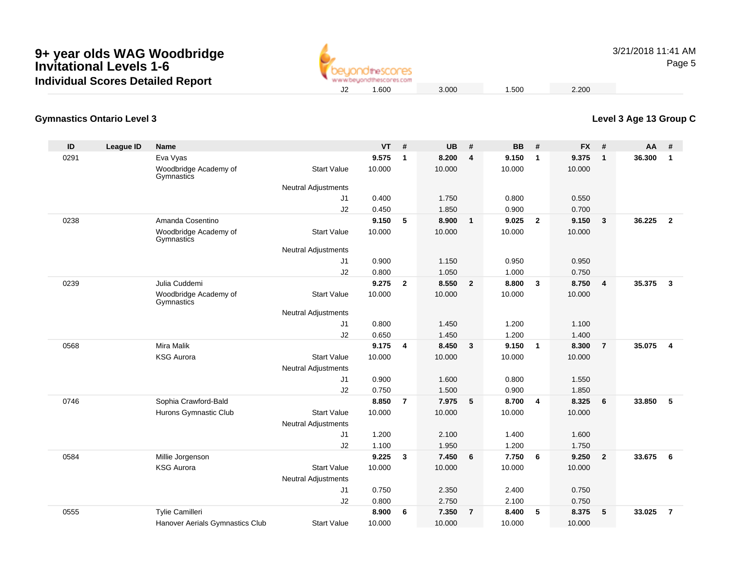

3/21/2018 11:41 AMPage 5

# **Level 3 Age 13 Group C**

#### **Gymnastics Ontario Level 3**

| ID   | League ID | <b>Name</b>                         |                            | <b>VT</b> | #              | <b>UB</b> | #                       | <b>BB</b> | #            | <b>FX</b> | #              | <b>AA</b> | #              |
|------|-----------|-------------------------------------|----------------------------|-----------|----------------|-----------|-------------------------|-----------|--------------|-----------|----------------|-----------|----------------|
| 0291 |           | Eva Vyas                            |                            | 9.575     | $\mathbf{1}$   | 8.200     | $\overline{4}$          | 9.150     | $\mathbf{1}$ | 9.375     | $\mathbf{1}$   | 36.300    | $\mathbf{1}$   |
|      |           | Woodbridge Academy of<br>Gymnastics | <b>Start Value</b>         | 10.000    |                | 10.000    |                         | 10.000    |              | 10.000    |                |           |                |
|      |           |                                     | <b>Neutral Adjustments</b> |           |                |           |                         |           |              |           |                |           |                |
|      |           |                                     | J1                         | 0.400     |                | 1.750     |                         | 0.800     |              | 0.550     |                |           |                |
|      |           |                                     | J2                         | 0.450     |                | 1.850     |                         | 0.900     |              | 0.700     |                |           |                |
| 0238 |           | Amanda Cosentino                    |                            | 9.150     | 5              | 8.900     | $\overline{1}$          | 9.025     | $\mathbf{2}$ | 9.150     | $\mathbf{3}$   | 36.225    | $\overline{2}$ |
|      |           | Woodbridge Academy of<br>Gymnastics | <b>Start Value</b>         | 10.000    |                | 10.000    |                         | 10.000    |              | 10.000    |                |           |                |
|      |           |                                     | <b>Neutral Adjustments</b> |           |                |           |                         |           |              |           |                |           |                |
|      |           |                                     | J1                         | 0.900     |                | 1.150     |                         | 0.950     |              | 0.950     |                |           |                |
|      |           |                                     | J2                         | 0.800     |                | 1.050     |                         | 1.000     |              | 0.750     |                |           |                |
| 0239 |           | Julia Cuddemi                       |                            | 9.275     | $\overline{2}$ | 8.550     | $\overline{\mathbf{2}}$ | 8.800     | 3            | 8.750     | 4              | 35.375    | $\mathbf{3}$   |
|      |           | Woodbridge Academy of<br>Gymnastics | <b>Start Value</b>         | 10.000    |                | 10.000    |                         | 10.000    |              | 10.000    |                |           |                |
|      |           |                                     | <b>Neutral Adjustments</b> |           |                |           |                         |           |              |           |                |           |                |
|      |           |                                     | J <sub>1</sub>             | 0.800     |                | 1.450     |                         | 1.200     |              | 1.100     |                |           |                |
|      |           |                                     | J2                         | 0.650     |                | 1.450     |                         | 1.200     |              | 1.400     |                |           |                |
| 0568 |           | Mira Malik                          |                            | 9.175     | 4              | 8.450     | $\overline{\mathbf{3}}$ | 9.150     | $\mathbf{1}$ | 8.300     | $\overline{7}$ | 35.075    | $\overline{4}$ |
|      |           | <b>KSG Aurora</b>                   | <b>Start Value</b>         | 10.000    |                | 10.000    |                         | 10.000    |              | 10.000    |                |           |                |
|      |           |                                     | <b>Neutral Adjustments</b> |           |                |           |                         |           |              |           |                |           |                |
|      |           |                                     | J1                         | 0.900     |                | 1.600     |                         | 0.800     |              | 1.550     |                |           |                |
|      |           |                                     | J2                         | 0.750     |                | 1.500     |                         | 0.900     |              | 1.850     |                |           |                |
| 0746 |           | Sophia Crawford-Bald                |                            | 8.850     | $\overline{7}$ | 7.975     | 5                       | 8.700     | 4            | 8.325     | 6              | 33.850    | 5              |
|      |           | Hurons Gymnastic Club               | <b>Start Value</b>         | 10.000    |                | 10.000    |                         | 10.000    |              | 10.000    |                |           |                |
|      |           |                                     | <b>Neutral Adjustments</b> |           |                |           |                         |           |              |           |                |           |                |
|      |           |                                     | J1                         | 1.200     |                | 2.100     |                         | 1.400     |              | 1.600     |                |           |                |
|      |           |                                     | J2                         | 1.100     |                | 1.950     |                         | 1.200     |              | 1.750     |                |           |                |
| 0584 |           | Millie Jorgenson                    |                            | 9.225     | 3              | 7.450     | 6                       | 7.750     | 6            | 9.250     | $\overline{2}$ | 33.675    | 6              |
|      |           | <b>KSG Aurora</b>                   | <b>Start Value</b>         | 10.000    |                | 10.000    |                         | 10.000    |              | 10.000    |                |           |                |
|      |           |                                     | <b>Neutral Adjustments</b> |           |                |           |                         |           |              |           |                |           |                |
|      |           |                                     | J1                         | 0.750     |                | 2.350     |                         | 2.400     |              | 0.750     |                |           |                |
|      |           |                                     | J2                         | 0.800     |                | 2.750     |                         | 2.100     |              | 0.750     |                |           |                |
| 0555 |           | Tylie Camilleri                     |                            | 8.900     | 6              | 7.350     | $\overline{7}$          | 8.400     | 5            | 8.375     | 5              | 33.025    | $\overline{7}$ |
|      |           | Hanover Aerials Gymnastics Club     | <b>Start Value</b>         | 10.000    |                | 10.000    |                         | 10.000    |              | 10.000    |                |           |                |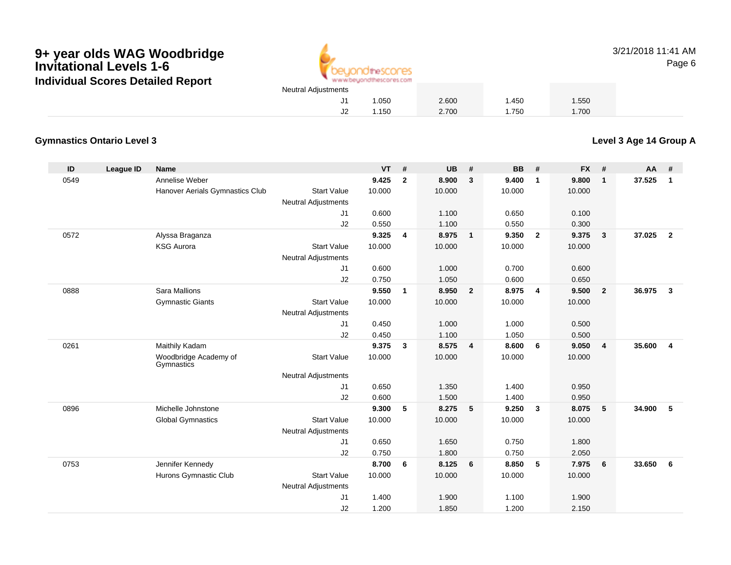

3/21/2018 11:41 AMPage 6

# 1.050 2.600 1.450 1.550 1.150 2.700 1.750 1.700

#### **Gymnastics Ontario Level 3**

**Level 3 Age 14 Group A**

| ID   | <b>League ID</b> | <b>Name</b>                         |                            | <b>VT</b> | #            | <b>UB</b> | #              | <b>BB</b> | #                       | <b>FX</b> | #              | <b>AA</b> | #              |
|------|------------------|-------------------------------------|----------------------------|-----------|--------------|-----------|----------------|-----------|-------------------------|-----------|----------------|-----------|----------------|
| 0549 |                  | Annelise Weber                      |                            | 9.425     | $\mathbf{2}$ | 8.900     | $\mathbf{3}$   | 9.400     | $\mathbf 1$             | 9.800     | $\mathbf{1}$   | 37.525    | $\mathbf{1}$   |
|      |                  | Hanover Aerials Gymnastics Club     | <b>Start Value</b>         | 10.000    |              | 10.000    |                | 10.000    |                         | 10.000    |                |           |                |
|      |                  |                                     | <b>Neutral Adjustments</b> |           |              |           |                |           |                         |           |                |           |                |
|      |                  |                                     | J1                         | 0.600     |              | 1.100     |                | 0.650     |                         | 0.100     |                |           |                |
|      |                  |                                     | J2                         | 0.550     |              | 1.100     |                | 0.550     |                         | 0.300     |                |           |                |
| 0572 |                  | Alyssa Braganza                     |                            | 9.325     | 4            | 8.975     | $\overline{1}$ | 9.350     | $\overline{2}$          | 9.375     | $\mathbf{3}$   | 37.025    | $\overline{2}$ |
|      |                  | <b>KSG Aurora</b>                   | <b>Start Value</b>         | 10.000    |              | 10.000    |                | 10.000    |                         | 10.000    |                |           |                |
|      |                  |                                     | <b>Neutral Adjustments</b> |           |              |           |                |           |                         |           |                |           |                |
|      |                  |                                     | J1                         | 0.600     |              | 1.000     |                | 0.700     |                         | 0.600     |                |           |                |
|      |                  |                                     | J2                         | 0.750     |              | 1.050     |                | 0.600     |                         | 0.650     |                |           |                |
| 0888 |                  | Sara Mallions                       |                            | 9.550     | $\mathbf{1}$ | 8.950     | $\overline{2}$ | 8.975     | $\overline{4}$          | 9.500     | $\overline{2}$ | 36.975    | $\mathbf{3}$   |
|      |                  | <b>Gymnastic Giants</b>             | <b>Start Value</b>         | 10.000    |              | 10.000    |                | 10.000    |                         | 10.000    |                |           |                |
|      |                  |                                     | <b>Neutral Adjustments</b> |           |              |           |                |           |                         |           |                |           |                |
|      |                  |                                     | J1                         | 0.450     |              | 1.000     |                | 1.000     |                         | 0.500     |                |           |                |
|      |                  |                                     | J2                         | 0.450     |              | 1.100     |                | 1.050     |                         | 0.500     |                |           |                |
| 0261 |                  | Maithily Kadam                      |                            | 9.375     | $\mathbf{3}$ | 8.575     | $\overline{4}$ | 8.600     | 6                       | 9.050     | $\overline{4}$ | 35.600    | 4              |
|      |                  | Woodbridge Academy of<br>Gymnastics | <b>Start Value</b>         | 10.000    |              | 10.000    |                | 10.000    |                         | 10.000    |                |           |                |
|      |                  |                                     | <b>Neutral Adjustments</b> |           |              |           |                |           |                         |           |                |           |                |
|      |                  |                                     | J1                         | 0.650     |              | 1.350     |                | 1.400     |                         | 0.950     |                |           |                |
|      |                  |                                     | J2                         | 0.600     |              | 1.500     |                | 1.400     |                         | 0.950     |                |           |                |
| 0896 |                  | Michelle Johnstone                  |                            | 9.300     | 5            | 8.275     | 5              | 9.250     | $\overline{\mathbf{3}}$ | 8.075     | 5              | 34.900    | 5              |
|      |                  | <b>Global Gymnastics</b>            | <b>Start Value</b>         | 10.000    |              | 10.000    |                | 10.000    |                         | 10.000    |                |           |                |
|      |                  |                                     | <b>Neutral Adjustments</b> |           |              |           |                |           |                         |           |                |           |                |
|      |                  |                                     | J1                         | 0.650     |              | 1.650     |                | 0.750     |                         | 1.800     |                |           |                |
|      |                  |                                     | J2                         | 0.750     |              | 1.800     |                | 0.750     |                         | 2.050     |                |           |                |
| 0753 |                  | Jennifer Kennedy                    |                            | 8.700     | 6            | 8.125     | 6              | 8.850     | 5                       | 7.975     | 6              | 33.650    | 6              |
|      |                  | Hurons Gymnastic Club               | <b>Start Value</b>         | 10.000    |              | 10.000    |                | 10.000    |                         | 10.000    |                |           |                |
|      |                  |                                     | <b>Neutral Adjustments</b> |           |              |           |                |           |                         |           |                |           |                |
|      |                  |                                     | J1                         | 1.400     |              | 1.900     |                | 1.100     |                         | 1.900     |                |           |                |
|      |                  |                                     | J2                         | 1.200     |              | 1.850     |                | 1.200     |                         | 2.150     |                |           |                |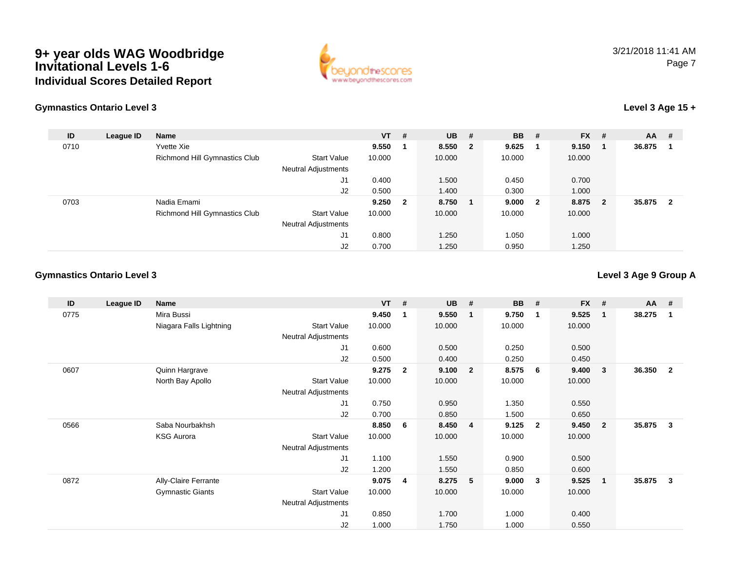

# **Gymnastics Ontario Level 3**

## **Level 3 Age 15 +**

| ID   | League ID | <b>Name</b>                   |                            | $VT$ # |                         | <b>UB</b> | #                       | <b>BB</b> | #                       | <b>FX</b> | #                       | $AA$ # |                |
|------|-----------|-------------------------------|----------------------------|--------|-------------------------|-----------|-------------------------|-----------|-------------------------|-----------|-------------------------|--------|----------------|
| 0710 |           | Yvette Xie                    |                            | 9.550  |                         | 8.550     | $\overline{\mathbf{2}}$ | 9.625     |                         | 9.150     |                         | 36.875 |                |
|      |           | Richmond Hill Gymnastics Club | <b>Start Value</b>         | 10.000 |                         | 10.000    |                         | 10.000    |                         | 10.000    |                         |        |                |
|      |           |                               | <b>Neutral Adjustments</b> |        |                         |           |                         |           |                         |           |                         |        |                |
|      |           |                               | J1                         | 0.400  |                         | 1.500     |                         | 0.450     |                         | 0.700     |                         |        |                |
|      |           |                               | J2                         | 0.500  |                         | 1.400     |                         | 0.300     |                         | 1.000     |                         |        |                |
| 0703 |           | Nadia Emami                   |                            | 9.250  | $\overline{\mathbf{2}}$ | 8.750     |                         | 9.000     | $\overline{\mathbf{2}}$ | 8.875     | $\overline{\mathbf{2}}$ | 35.875 | $\overline{2}$ |
|      |           | Richmond Hill Gymnastics Club | <b>Start Value</b>         | 10.000 |                         | 10.000    |                         | 10.000    |                         | 10.000    |                         |        |                |
|      |           |                               | <b>Neutral Adjustments</b> |        |                         |           |                         |           |                         |           |                         |        |                |
|      |           |                               | J1                         | 0.800  |                         | 1.250     |                         | 1.050     |                         | 1.000     |                         |        |                |
|      |           |                               | J2                         | 0.700  |                         | 1.250     |                         | 0.950     |                         | 1.250     |                         |        |                |

#### **Gymnastics Ontario Level 3**

## **Level 3 Age 9 Group A**

| ID   | League ID | Name                        |                            | <b>VT</b> | #            | <b>UB</b> | #                       | <b>BB</b> | #                       | <b>FX</b> | #                       | <b>AA</b> | #              |
|------|-----------|-----------------------------|----------------------------|-----------|--------------|-----------|-------------------------|-----------|-------------------------|-----------|-------------------------|-----------|----------------|
| 0775 |           | Mira Bussi                  |                            | 9.450     | 1            | 9.550     | $\mathbf{1}$            | 9.750     | $\mathbf{1}$            | 9.525     | $\overline{\mathbf{1}}$ | 38.275    | -1             |
|      |           | Niagara Falls Lightning     | <b>Start Value</b>         | 10.000    |              | 10.000    |                         | 10.000    |                         | 10.000    |                         |           |                |
|      |           |                             | <b>Neutral Adjustments</b> |           |              |           |                         |           |                         |           |                         |           |                |
|      |           |                             | J1                         | 0.600     |              | 0.500     |                         | 0.250     |                         | 0.500     |                         |           |                |
|      |           |                             | J <sub>2</sub>             | 0.500     |              | 0.400     |                         | 0.250     |                         | 0.450     |                         |           |                |
| 0607 |           | Quinn Hargrave              |                            | 9.275     | $\mathbf{2}$ | 9.100     | $\overline{\mathbf{2}}$ | 8.575     | 6                       | 9.400     | 3                       | 36.350    | $\overline{2}$ |
|      |           | North Bay Apollo            | <b>Start Value</b>         | 10.000    |              | 10.000    |                         | 10.000    |                         | 10.000    |                         |           |                |
|      |           |                             | Neutral Adjustments        |           |              |           |                         |           |                         |           |                         |           |                |
|      |           |                             | J <sub>1</sub>             | 0.750     |              | 0.950     |                         | 1.350     |                         | 0.550     |                         |           |                |
|      |           |                             | J2                         | 0.700     |              | 0.850     |                         | 1.500     |                         | 0.650     |                         |           |                |
| 0566 |           | Saba Nourbakhsh             |                            | 8.850     | 6            | 8.450     | $\overline{4}$          | 9.125     | $\overline{\mathbf{2}}$ | 9.450     | $\overline{2}$          | 35.875    | 3              |
|      |           | <b>KSG Aurora</b>           | <b>Start Value</b>         | 10.000    |              | 10.000    |                         | 10.000    |                         | 10.000    |                         |           |                |
|      |           |                             | Neutral Adjustments        |           |              |           |                         |           |                         |           |                         |           |                |
|      |           |                             | J1                         | 1.100     |              | 1.550     |                         | 0.900     |                         | 0.500     |                         |           |                |
|      |           |                             | J2                         | 1.200     |              | 1.550     |                         | 0.850     |                         | 0.600     |                         |           |                |
| 0872 |           | <b>Ally-Claire Ferrante</b> |                            | 9.075     | 4            | 8.275     | 5                       | 9.000     | $\mathbf{3}$            | 9.525     | $\overline{1}$          | 35.875    | 3              |
|      |           | <b>Gymnastic Giants</b>     | <b>Start Value</b>         | 10.000    |              | 10.000    |                         | 10.000    |                         | 10.000    |                         |           |                |
|      |           |                             | <b>Neutral Adjustments</b> |           |              |           |                         |           |                         |           |                         |           |                |
|      |           |                             | J <sub>1</sub>             | 0.850     |              | 1.700     |                         | 1.000     |                         | 0.400     |                         |           |                |
|      |           |                             | J <sub>2</sub>             | 1.000     |              | 1.750     |                         | 1.000     |                         | 0.550     |                         |           |                |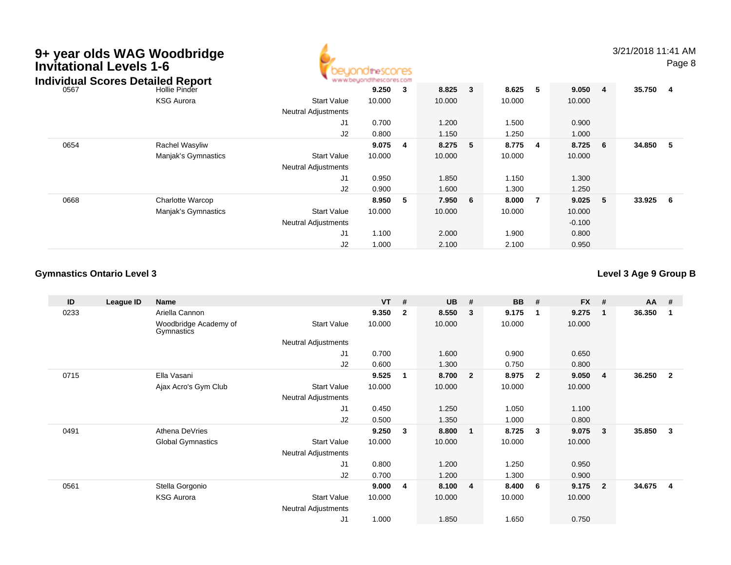| <b>Invitational Levels 1-6</b><br><b>Individual Scores Detailed Report</b> | 9+ year olds WAG Woodbridge |                                                  |        |                         |        |   |        |    |          |                | 3/21/2018 11:41 AM | Page 8 |
|----------------------------------------------------------------------------|-----------------------------|--------------------------------------------------|--------|-------------------------|--------|---|--------|----|----------|----------------|--------------------|--------|
| 0567                                                                       | Hollie Pinder               |                                                  | 9.250  | $\overline{\mathbf{3}}$ | 8.825  | 3 | 8.625  | -5 | 9.050    | $\overline{4}$ | 35.750 4           |        |
|                                                                            | <b>KSG Aurora</b>           | <b>Start Value</b><br><b>Neutral Adjustments</b> | 10.000 |                         | 10.000 |   | 10.000 |    | 10.000   |                |                    |        |
|                                                                            |                             | J1                                               | 0.700  |                         | 1.200  |   | 1.500  |    | 0.900    |                |                    |        |
|                                                                            |                             | J2                                               | 0.800  |                         | 1.150  |   | 1.250  |    | 1.000    |                |                    |        |
| 0654                                                                       | Rachel Wasyliw              |                                                  | 9.075  | $\overline{4}$          | 8.275  | 5 | 8.775  | -4 | 8.725    | 6              | 34.850             | - 5    |
|                                                                            | Manjak's Gymnastics         | <b>Start Value</b><br><b>Neutral Adjustments</b> | 10.000 |                         | 10.000 |   | 10.000 |    | 10.000   |                |                    |        |
|                                                                            |                             | J1                                               | 0.950  |                         | 1.850  |   | 1.150  |    | 1.300    |                |                    |        |
|                                                                            |                             | J2                                               | 0.900  |                         | 1.600  |   | 1.300  |    | 1.250    |                |                    |        |
| 0668                                                                       | Charlotte Warcop            |                                                  | 8.950  | - 5                     | 7.950  | 6 | 8.000  | -7 | 9.025    | 5              | 33.925             | - 6    |
|                                                                            | Manjak's Gymnastics         | <b>Start Value</b>                               | 10.000 |                         | 10.000 |   | 10.000 |    | 10.000   |                |                    |        |
|                                                                            |                             | <b>Neutral Adjustments</b>                       |        |                         |        |   |        |    | $-0.100$ |                |                    |        |
|                                                                            |                             | J <sub>1</sub>                                   | 1.100  |                         | 2.000  |   | 1.900  |    | 0.800    |                |                    |        |
|                                                                            |                             | J2                                               | 1.000  |                         | 2.100  |   | 2.100  |    | 0.950    |                |                    |        |

**Level 3 Age 9 Group B**

| ID   | League ID | Name                                |                     | <b>VT</b> | #              | <b>UB</b> | #                       | <b>BB</b> | #                       | <b>FX</b> | #              | $AA$ # |                |
|------|-----------|-------------------------------------|---------------------|-----------|----------------|-----------|-------------------------|-----------|-------------------------|-----------|----------------|--------|----------------|
| 0233 |           | Ariella Cannon                      |                     | 9.350     | $\overline{2}$ | 8.550     | $\mathbf{3}$            | 9.175     | $\blacksquare$          | 9.275     | $\mathbf 1$    | 36.350 | 1              |
|      |           | Woodbridge Academy of<br>Gymnastics | <b>Start Value</b>  | 10.000    |                | 10.000    |                         | 10.000    |                         | 10.000    |                |        |                |
|      |           |                                     | Neutral Adjustments |           |                |           |                         |           |                         |           |                |        |                |
|      |           |                                     | J1                  | 0.700     |                | 1.600     |                         | 0.900     |                         | 0.650     |                |        |                |
|      |           |                                     | J2                  | 0.600     |                | 1.300     |                         | 0.750     |                         | 0.800     |                |        |                |
| 0715 |           | Ella Vasani                         |                     | 9.525     | 1              | 8.700     | $\overline{\mathbf{2}}$ | 8.975     | $\overline{\mathbf{2}}$ | 9.050     | -4             | 36.250 | $\mathbf{2}$   |
|      |           | Ajax Acro's Gym Club                | <b>Start Value</b>  | 10.000    |                | 10.000    |                         | 10.000    |                         | 10.000    |                |        |                |
|      |           |                                     | Neutral Adjustments |           |                |           |                         |           |                         |           |                |        |                |
|      |           |                                     | J1                  | 0.450     |                | 1.250     |                         | 1.050     |                         | 1.100     |                |        |                |
|      |           |                                     | J2                  | 0.500     |                | 1.350     |                         | 1.000     |                         | 0.800     |                |        |                |
| 0491 |           | Athena DeVries                      |                     | 9.250     | 3              | 8.800     | $\blacksquare$          | 8.725     | $\mathbf{3}$            | 9.075     | $\mathbf{3}$   | 35.850 | 3              |
|      |           | <b>Global Gymnastics</b>            | <b>Start Value</b>  | 10.000    |                | 10.000    |                         | 10.000    |                         | 10.000    |                |        |                |
|      |           |                                     | Neutral Adjustments |           |                |           |                         |           |                         |           |                |        |                |
|      |           |                                     | J1                  | 0.800     |                | 1.200     |                         | 1.250     |                         | 0.950     |                |        |                |
|      |           |                                     | J2                  | 0.700     |                | 1.200     |                         | 1.300     |                         | 0.900     |                |        |                |
| 0561 |           | Stella Gorgonio                     |                     | 9.000     | 4              | 8.100     | $\overline{4}$          | 8.400     | - 6                     | 9.175     | $\overline{2}$ | 34.675 | $\overline{4}$ |
|      |           | <b>KSG Aurora</b>                   | <b>Start Value</b>  | 10.000    |                | 10.000    |                         | 10.000    |                         | 10.000    |                |        |                |
|      |           |                                     | Neutral Adjustments |           |                |           |                         |           |                         |           |                |        |                |
|      |           |                                     | J1                  | 1.000     |                | 1.850     |                         | 1.650     |                         | 0.750     |                |        |                |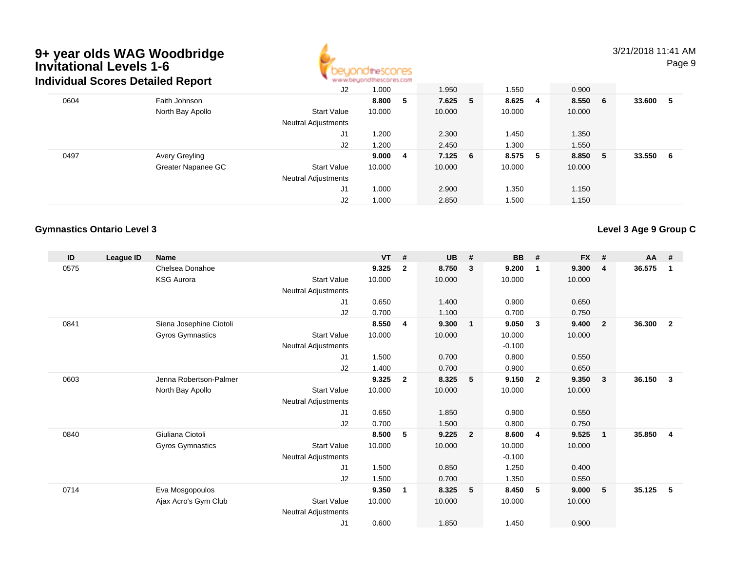

3/21/2018 11:41 AMPage 9

|      | Individual Scores Detailed Report |                            | www.beyondthescores.com |     |            |   |         |    |         |     |        |     |
|------|-----------------------------------|----------------------------|-------------------------|-----|------------|---|---------|----|---------|-----|--------|-----|
|      |                                   | J2                         | 1.000                   |     | 1.950      |   | 1.550   |    | 0.900   |     |        |     |
| 0604 | Faith Johnson                     |                            | 8.800                   | - 5 | 7.625      | 5 | 8.625   | -4 | 8.550 6 |     | 33.600 | -5  |
|      | North Bay Apollo                  | <b>Start Value</b>         | 10.000                  |     | 10.000     |   | 10.000  |    | 10.000  |     |        |     |
|      |                                   | <b>Neutral Adjustments</b> |                         |     |            |   |         |    |         |     |        |     |
|      |                                   | J1                         | 1.200                   |     | 2.300      |   | 1.450   |    | 1.350   |     |        |     |
|      |                                   | J2                         | 1.200                   |     | 2.450      |   | 1.300   |    | 1.550   |     |        |     |
| 0497 | Avery Greyling                    |                            | 9.000                   | - 4 | $7.125\ 6$ |   | 8.575 5 |    | 8.850   | - 5 | 33.550 | - 6 |
|      | Greater Napanee GC                | <b>Start Value</b>         | 10.000                  |     | 10.000     |   | 10.000  |    | 10.000  |     |        |     |
|      |                                   | <b>Neutral Adjustments</b> |                         |     |            |   |         |    |         |     |        |     |
|      |                                   | J <sub>1</sub>             | 1.000                   |     | 2.900      |   | 1.350   |    | 1.150   |     |        |     |
|      |                                   | J2                         | 1.000                   |     | 2.850      |   | 1.500   |    | 1.150   |     |        |     |

## **Gymnastics Ontario Level 3**

**Level 3 Age 9 Group C**

| ID   | League ID | Name                    |                     | <b>VT</b> | #              | <b>UB</b> | #                       | <b>BB</b> | #              | <b>FX</b> | #              | <b>AA</b> | #              |
|------|-----------|-------------------------|---------------------|-----------|----------------|-----------|-------------------------|-----------|----------------|-----------|----------------|-----------|----------------|
| 0575 |           | Chelsea Donahoe         |                     | 9.325     | $\mathbf{2}$   | 8.750     | $\mathbf{3}$            | 9.200     | $\mathbf 1$    | 9.300     | 4              | 36.575    | 1              |
|      |           | <b>KSG Aurora</b>       | <b>Start Value</b>  | 10.000    |                | 10.000    |                         | 10.000    |                | 10.000    |                |           |                |
|      |           |                         | Neutral Adjustments |           |                |           |                         |           |                |           |                |           |                |
|      |           |                         | J1                  | 0.650     |                | 1.400     |                         | 0.900     |                | 0.650     |                |           |                |
|      |           |                         | J2                  | 0.700     |                | 1.100     |                         | 0.700     |                | 0.750     |                |           |                |
| 0841 |           | Siena Josephine Ciotoli |                     | 8.550     | 4              | 9.300     | $\overline{1}$          | 9.050     | $\mathbf{3}$   | 9.400     | $\overline{2}$ | 36.300    | $\overline{2}$ |
|      |           | Gyros Gymnastics        | <b>Start Value</b>  | 10.000    |                | 10.000    |                         | 10.000    |                | 10.000    |                |           |                |
|      |           |                         | Neutral Adjustments |           |                |           |                         | $-0.100$  |                |           |                |           |                |
|      |           |                         | J1                  | 1.500     |                | 0.700     |                         | 0.800     |                | 0.550     |                |           |                |
|      |           |                         | J2                  | 1.400     |                | 0.700     |                         | 0.900     |                | 0.650     |                |           |                |
| 0603 |           | Jenna Robertson-Palmer  |                     | 9.325     | $\overline{2}$ | 8.325     | - 5                     | 9.150     | $\overline{2}$ | 9.350     | $\mathbf{3}$   | 36.150    | 3              |
|      |           | North Bay Apollo        | <b>Start Value</b>  | 10.000    |                | 10.000    |                         | 10.000    |                | 10.000    |                |           |                |
|      |           |                         | Neutral Adjustments |           |                |           |                         |           |                |           |                |           |                |
|      |           |                         | J1                  | 0.650     |                | 1.850     |                         | 0.900     |                | 0.550     |                |           |                |
|      |           |                         | J2                  | 0.700     |                | 1.500     |                         | 0.800     |                | 0.750     |                |           |                |
| 0840 |           | Giuliana Ciotoli        |                     | 8.500     | 5              | 9.225     | $\overline{\mathbf{2}}$ | 8.600     | -4             | 9.525     | $\mathbf{1}$   | 35.850    | $\overline{4}$ |
|      |           | Gyros Gymnastics        | <b>Start Value</b>  | 10.000    |                | 10.000    |                         | 10.000    |                | 10.000    |                |           |                |
|      |           |                         | Neutral Adjustments |           |                |           |                         | $-0.100$  |                |           |                |           |                |
|      |           |                         | J1                  | 1.500     |                | 0.850     |                         | 1.250     |                | 0.400     |                |           |                |
|      |           |                         | J2                  | 1.500     |                | 0.700     |                         | 1.350     |                | 0.550     |                |           |                |
| 0714 |           | Eva Mosgopoulos         |                     | 9.350     | 1              | 8.325     | 5                       | 8.450     | 5              | 9.000     | 5              | 35.125    | 5              |
|      |           | Ajax Acro's Gym Club    | <b>Start Value</b>  | 10.000    |                | 10.000    |                         | 10.000    |                | 10.000    |                |           |                |
|      |           |                         | Neutral Adjustments |           |                |           |                         |           |                |           |                |           |                |
|      |           |                         | J1                  | 0.600     |                | 1.850     |                         | 1.450     |                | 0.900     |                |           |                |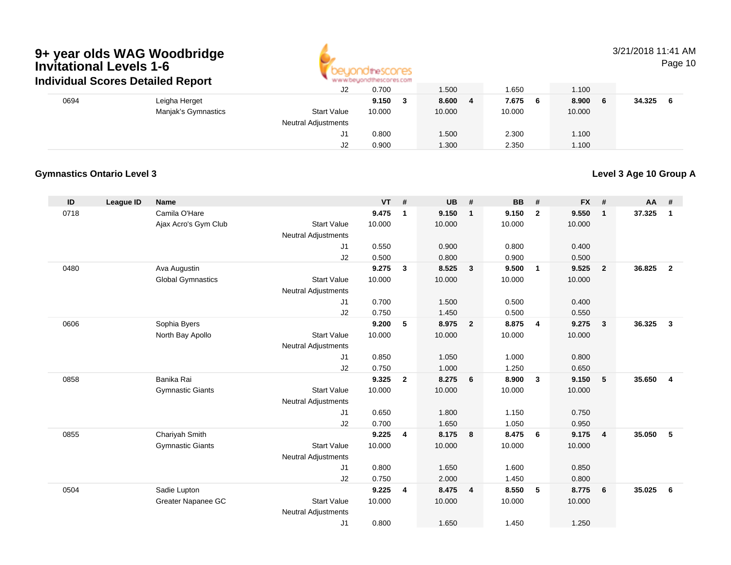

# 3/21/2018 11:41 AM

Page 10

|      | individual Scores Detailed Report |                     |                            | ALAI AI DID'IDI IDII IIDICII IDI PU |        |        |     |        |        |  |
|------|-----------------------------------|---------------------|----------------------------|-------------------------------------|--------|--------|-----|--------|--------|--|
|      |                                   |                     | J2                         | 0.700                               | 1.500  | .650   |     | 1.100  |        |  |
| 0694 | Leigha Herget                     |                     |                            | 9.150                               | 8.600  | 7.675  | - 6 | 8.900  | 34.325 |  |
|      |                                   | Manjak's Gymnastics | <b>Start Value</b>         | 10.000                              | 10.000 | 10.000 |     | 10.000 |        |  |
|      |                                   |                     | <b>Neutral Adjustments</b> |                                     |        |        |     |        |        |  |
|      |                                   |                     | J۱                         | 0.800                               | 1.500  | 2.300  |     | 1.100  |        |  |
|      |                                   |                     | J2                         | 0.900                               | 1.300  | 2.350  |     | 1.100  |        |  |

# **Gymnastics Ontario Level 3**

**Level 3 Age 10 Group A**

| ID   | League ID | <b>Name</b>              |                                  | <b>VT</b> | #              | <b>UB</b> | #              | <b>BB</b> | #              | <b>FX</b> | #                       | AA     | #                       |
|------|-----------|--------------------------|----------------------------------|-----------|----------------|-----------|----------------|-----------|----------------|-----------|-------------------------|--------|-------------------------|
| 0718 |           | Camila O'Hare            |                                  | 9.475     | $\mathbf{1}$   | 9.150     | $\mathbf{1}$   | 9.150     | $\overline{2}$ | 9.550     | $\overline{1}$          | 37.325 | $\mathbf{1}$            |
|      |           | Ajax Acro's Gym Club     | <b>Start Value</b>               | 10.000    |                | 10.000    |                | 10.000    |                | 10.000    |                         |        |                         |
|      |           |                          | <b>Neutral Adjustments</b>       |           |                |           |                |           |                |           |                         |        |                         |
|      |           |                          | J1                               | 0.550     |                | 0.900     |                | 0.800     |                | 0.400     |                         |        |                         |
|      |           |                          | J2                               | 0.500     |                | 0.800     |                | 0.900     |                | 0.500     |                         |        |                         |
| 0480 |           | Ava Augustin             |                                  | 9.275     | 3              | 8.525     | 3              | 9.500     | $\mathbf{1}$   | 9.525     | $\overline{\mathbf{2}}$ | 36.825 | $\overline{2}$          |
|      |           | <b>Global Gymnastics</b> | <b>Start Value</b>               | 10.000    |                | 10.000    |                | 10.000    |                | 10.000    |                         |        |                         |
|      |           |                          | <b>Neutral Adjustments</b>       |           |                |           |                |           |                |           |                         |        |                         |
|      |           |                          | J1                               | 0.700     |                | 1.500     |                | 0.500     |                | 0.400     |                         |        |                         |
|      |           |                          | J <sub>2</sub>                   | 0.750     |                | 1.450     |                | 0.500     |                | 0.550     |                         |        |                         |
| 0606 |           | Sophia Byers             |                                  | 9.200     | 5              | 8.975     | $\overline{2}$ | 8.875     | 4              | 9.275     | $\overline{\mathbf{3}}$ | 36.325 | $\overline{\mathbf{3}}$ |
|      |           | North Bay Apollo         | <b>Start Value</b>               | 10.000    |                | 10.000    |                | 10.000    |                | 10.000    |                         |        |                         |
|      |           |                          | <b>Neutral Adjustments</b><br>J1 | 0.850     |                | 1.050     |                | 1.000     |                | 0.800     |                         |        |                         |
|      |           |                          | J2                               | 0.750     |                | 1.000     |                | 1.250     |                | 0.650     |                         |        |                         |
| 0858 |           | Banika Rai               |                                  | 9.325     | $\overline{2}$ | 8.275     | 6              | 8.900     | $\mathbf{3}$   | 9.150     | - 5                     | 35.650 | $\overline{4}$          |
|      |           | <b>Gymnastic Giants</b>  | <b>Start Value</b>               | 10.000    |                | 10.000    |                | 10.000    |                | 10.000    |                         |        |                         |
|      |           |                          | <b>Neutral Adjustments</b>       |           |                |           |                |           |                |           |                         |        |                         |
|      |           |                          | J <sub>1</sub>                   | 0.650     |                | 1.800     |                | 1.150     |                | 0.750     |                         |        |                         |
|      |           |                          | J2                               | 0.700     |                | 1.650     |                | 1.050     |                | 0.950     |                         |        |                         |
| 0855 |           | Chariyah Smith           |                                  | 9.225     | 4              | 8.175     | 8              | 8.475     | 6              | 9.175     | $\overline{\mathbf{4}}$ | 35.050 | 5                       |
|      |           | <b>Gymnastic Giants</b>  | <b>Start Value</b>               | 10.000    |                | 10.000    |                | 10.000    |                | 10.000    |                         |        |                         |
|      |           |                          | <b>Neutral Adjustments</b>       |           |                |           |                |           |                |           |                         |        |                         |
|      |           |                          | J1                               | 0.800     |                | 1.650     |                | 1.600     |                | 0.850     |                         |        |                         |
|      |           |                          | J2                               | 0.750     |                | 2.000     |                | 1.450     |                | 0.800     |                         |        |                         |
| 0504 |           | Sadie Lupton             |                                  | 9.225     | 4              | 8.475     | $\overline{4}$ | 8.550     | 5              | 8.775     | 6                       | 35.025 | 6                       |
|      |           | Greater Napanee GC       | <b>Start Value</b>               | 10.000    |                | 10.000    |                | 10.000    |                | 10.000    |                         |        |                         |
|      |           |                          | <b>Neutral Adjustments</b>       |           |                |           |                |           |                |           |                         |        |                         |
|      |           |                          | J1                               | 0.800     |                | 1.650     |                | 1.450     |                | 1.250     |                         |        |                         |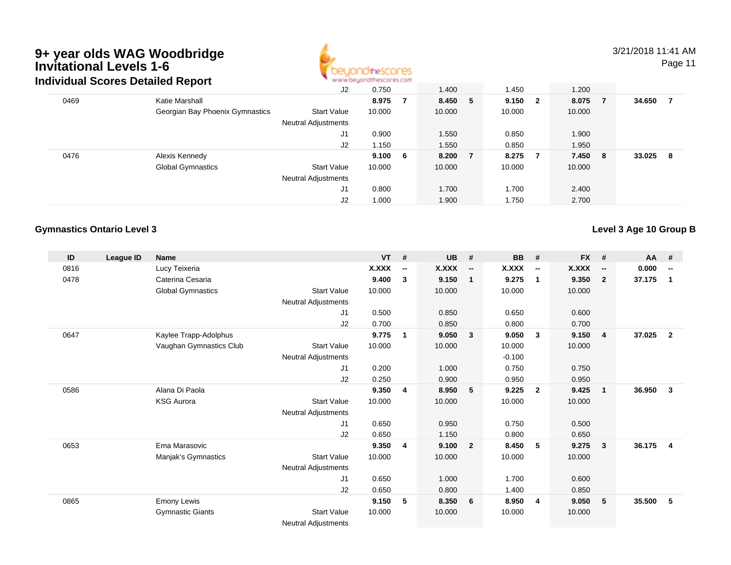

3/21/2018 11:41 AM

Page 11

|      | idividual Scores Detailed Report |                            | <b>M.M.MCASTAN IN ILIMENT AS FOUL</b> |     |         |    |         |   |         |     |        |     |
|------|----------------------------------|----------------------------|---------------------------------------|-----|---------|----|---------|---|---------|-----|--------|-----|
|      |                                  | J2                         | 0.750                                 |     | 1.400   |    | 1.450   |   | 1.200   |     |        |     |
| 0469 | Katie Marshall                   |                            | 8.975                                 | -7  | 8.450 5 |    | 9.150 2 |   | 8.075   | - 7 | 34.650 | - 7 |
|      | Georgian Bay Phoenix Gymnastics  | <b>Start Value</b>         | 10.000                                |     | 10.000  |    | 10.000  |   | 10.000  |     |        |     |
|      |                                  | <b>Neutral Adjustments</b> |                                       |     |         |    |         |   |         |     |        |     |
|      |                                  | J1                         | 0.900                                 |     | 1.550   |    | 0.850   |   | 1.900   |     |        |     |
|      |                                  | J2                         | 1.150                                 |     | 1.550   |    | 0.850   |   | 1.950   |     |        |     |
| 0476 | Alexis Kennedy                   |                            | 9.100                                 | - 6 | 8.200   | -7 | 8.275   | 7 | 7.450 8 |     | 33.025 | - 8 |
|      | <b>Global Gymnastics</b>         | <b>Start Value</b>         | 10.000                                |     | 10.000  |    | 10.000  |   | 10.000  |     |        |     |
|      |                                  | <b>Neutral Adjustments</b> |                                       |     |         |    |         |   |         |     |        |     |
|      |                                  | J1                         | 0.800                                 |     | 1.700   |    | 1.700   |   | 2.400   |     |        |     |
|      |                                  | J2                         | 1.000                                 |     | 1.900   |    | 1.750   |   | 2.700   |     |        |     |

## **Gymnastics Ontario Level 3**

**Level 3 Age 10 Group B**

| ID   | League ID | <b>Name</b>              |                            | <b>VT</b>    | #                        | <b>UB</b> | #                        | <b>BB</b> | #                        | <b>FX</b> | #                        | AA     | #                        |
|------|-----------|--------------------------|----------------------------|--------------|--------------------------|-----------|--------------------------|-----------|--------------------------|-----------|--------------------------|--------|--------------------------|
| 0816 |           | Lucy Teixeria            |                            | <b>X.XXX</b> | $\overline{\phantom{a}}$ | X.XXX     | $\overline{\phantom{a}}$ | X.XXX     | $\overline{\phantom{a}}$ | X.XXX     | $\overline{\phantom{a}}$ | 0.000  | $\overline{\phantom{a}}$ |
| 0478 |           | Caterina Cesaria         |                            | 9.400        | $\mathbf{3}$             | 9.150     | $\overline{\mathbf{1}}$  | 9.275     | $\mathbf{1}$             | 9.350     | $\mathbf{2}$             | 37.175 | $\mathbf 1$              |
|      |           | <b>Global Gymnastics</b> | <b>Start Value</b>         | 10.000       |                          | 10.000    |                          | 10.000    |                          | 10.000    |                          |        |                          |
|      |           |                          | Neutral Adjustments        |              |                          |           |                          |           |                          |           |                          |        |                          |
|      |           |                          | J1                         | 0.500        |                          | 0.850     |                          | 0.650     |                          | 0.600     |                          |        |                          |
|      |           |                          | J2                         | 0.700        |                          | 0.850     |                          | 0.800     |                          | 0.700     |                          |        |                          |
| 0647 |           | Kaylee Trapp-Adolphus    |                            | 9.775        | $\mathbf{1}$             | 9.050     | $\overline{\mathbf{3}}$  | 9.050     | $\mathbf{3}$             | 9.150     | $\overline{4}$           | 37.025 | $\overline{2}$           |
|      |           | Vaughan Gymnastics Club  | <b>Start Value</b>         | 10.000       |                          | 10.000    |                          | 10.000    |                          | 10.000    |                          |        |                          |
|      |           |                          | <b>Neutral Adjustments</b> |              |                          |           |                          | $-0.100$  |                          |           |                          |        |                          |
|      |           |                          | J1                         | 0.200        |                          | 1.000     |                          | 0.750     |                          | 0.750     |                          |        |                          |
|      |           |                          | J2                         | 0.250        |                          | 0.900     |                          | 0.950     |                          | 0.950     |                          |        |                          |
| 0586 |           | Alana Di Paola           |                            | 9.350        | 4                        | 8.950     | - 5                      | 9.225     | $\overline{2}$           | 9.425     | $\mathbf{1}$             | 36.950 | $\mathbf{3}$             |
|      |           | <b>KSG Aurora</b>        | <b>Start Value</b>         | 10.000       |                          | 10.000    |                          | 10.000    |                          | 10.000    |                          |        |                          |
|      |           |                          | Neutral Adjustments        |              |                          |           |                          |           |                          |           |                          |        |                          |
|      |           |                          | J1                         | 0.650        |                          | 0.950     |                          | 0.750     |                          | 0.500     |                          |        |                          |
|      |           |                          | J2                         | 0.650        |                          | 1.150     |                          | 0.800     |                          | 0.650     |                          |        |                          |
| 0653 |           | Ema Marasovic            |                            | 9.350        | 4                        | 9.100     | $\overline{\mathbf{2}}$  | 8.450     | 5                        | 9.275     | $\mathbf{3}$             | 36.175 | $\overline{\mathbf{4}}$  |
|      |           | Manjak's Gymnastics      | <b>Start Value</b>         | 10.000       |                          | 10.000    |                          | 10.000    |                          | 10.000    |                          |        |                          |
|      |           |                          | Neutral Adjustments        |              |                          |           |                          |           |                          |           |                          |        |                          |
|      |           |                          | J1                         | 0.650        |                          | 1.000     |                          | 1.700     |                          | 0.600     |                          |        |                          |
|      |           |                          | J2                         | 0.650        |                          | 0.800     |                          | 1.400     |                          | 0.850     |                          |        |                          |
| 0865 |           | <b>Emony Lewis</b>       |                            | 9.150        | 5                        | 8.350     | 6                        | 8.950     | $\overline{\mathbf{4}}$  | 9.050     | 5                        | 35.500 | 5                        |
|      |           | <b>Gymnastic Giants</b>  | <b>Start Value</b>         | 10.000       |                          | 10.000    |                          | 10.000    |                          | 10.000    |                          |        |                          |
|      |           |                          | <b>Neutral Adjustments</b> |              |                          |           |                          |           |                          |           |                          |        |                          |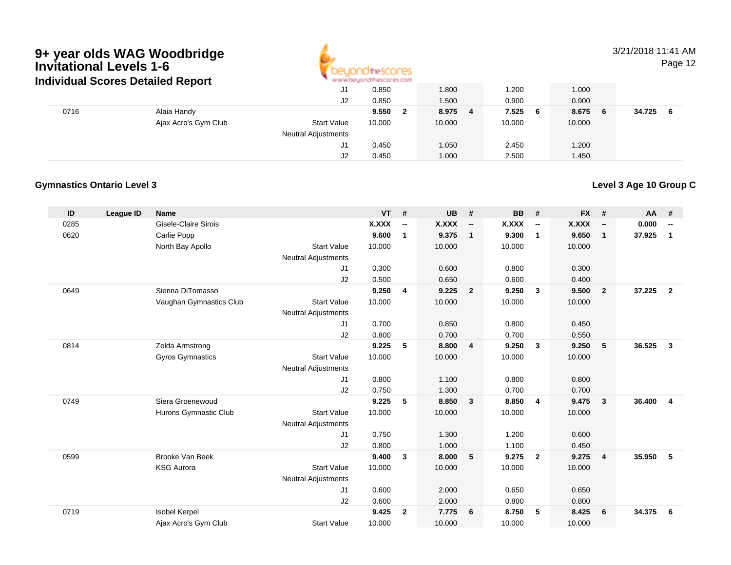

3/21/2018 11:41 AMPage 12

|      | individual Scores Detailed Report |                            | All All Administration and in Michellen as a model of |            |              |              |              |
|------|-----------------------------------|----------------------------|-------------------------------------------------------|------------|--------------|--------------|--------------|
|      |                                   | J1                         | 0.850                                                 | 1.800      | .200         | 1.000        |              |
|      |                                   | J2                         | 0.850                                                 | 1.500      | 0.900        | 0.900        |              |
| 0716 | Alaia Handy                       |                            | 9.550                                                 | 8.975<br>4 | 7.525<br>- 6 | 8.675<br>- 6 | 34.725<br>-6 |
|      | Ajax Acro's Gym Club              | <b>Start Value</b>         | 10.000                                                | 10.000     | 10.000       | 10.000       |              |
|      |                                   | <b>Neutral Adjustments</b> |                                                       |            |              |              |              |
|      |                                   | J1                         | 0.450                                                 | 1.050      | 2.450        | 1.200        |              |
|      |                                   | J2                         | 0.450                                                 | 1.000      | 2.500        | 1.450        |              |

## **Gymnastics Ontario Level 3**

**Level 3 Age 10 Group C**

| ID   | League ID | <b>Name</b>             |                            | <b>VT</b> | #                        | <b>UB</b> | #                        | <b>BB</b>    | #                        | <b>FX</b> | #                        | <b>AA</b> | #                        |
|------|-----------|-------------------------|----------------------------|-----------|--------------------------|-----------|--------------------------|--------------|--------------------------|-----------|--------------------------|-----------|--------------------------|
| 0285 |           | Gisele-Claire Sirois    |                            | X.XXX     | $\overline{\phantom{a}}$ | X.XXX     | $\overline{\phantom{a}}$ | <b>X.XXX</b> | $\overline{\phantom{a}}$ | X.XXX     | $\overline{\phantom{a}}$ | 0.000     | $\overline{\phantom{a}}$ |
| 0620 |           | Carlie Popp             |                            | 9.600     | $\mathbf{1}$             | 9.375     | $\overline{\mathbf{1}}$  | 9.300        | $\mathbf{1}$             | 9.650     | $\mathbf{1}$             | 37.925    | $\mathbf{1}$             |
|      |           | North Bay Apollo        | <b>Start Value</b>         | 10.000    |                          | 10.000    |                          | 10.000       |                          | 10.000    |                          |           |                          |
|      |           |                         | <b>Neutral Adjustments</b> |           |                          |           |                          |              |                          |           |                          |           |                          |
|      |           |                         | J <sub>1</sub>             | 0.300     |                          | 0.600     |                          | 0.800        |                          | 0.300     |                          |           |                          |
|      |           |                         | J2                         | 0.500     |                          | 0.650     |                          | 0.600        |                          | 0.400     |                          |           |                          |
| 0649 |           | Sienna DiTomasso        |                            | 9.250     | $\overline{\mathbf{4}}$  | 9.225     | $\overline{\mathbf{2}}$  | 9.250        | $\overline{\mathbf{3}}$  | 9.500     | $\overline{2}$           | 37.225    | $\overline{2}$           |
|      |           | Vaughan Gymnastics Club | <b>Start Value</b>         | 10.000    |                          | 10.000    |                          | 10.000       |                          | 10.000    |                          |           |                          |
|      |           |                         | <b>Neutral Adjustments</b> |           |                          |           |                          |              |                          |           |                          |           |                          |
|      |           |                         | J1                         | 0.700     |                          | 0.850     |                          | 0.800        |                          | 0.450     |                          |           |                          |
|      |           |                         | J2                         | 0.800     |                          | 0.700     |                          | 0.700        |                          | 0.550     |                          |           |                          |
| 0814 |           | Zelda Armstrong         |                            | 9.225     | 5                        | 8.800     | $\overline{4}$           | 9.250        | 3                        | 9.250     | 5                        | 36.525    | $\overline{\mathbf{3}}$  |
|      |           | Gyros Gymnastics        | <b>Start Value</b>         | 10.000    |                          | 10.000    |                          | 10.000       |                          | 10.000    |                          |           |                          |
|      |           |                         | <b>Neutral Adjustments</b> |           |                          |           |                          |              |                          |           |                          |           |                          |
|      |           |                         | J <sub>1</sub>             | 0.800     |                          | 1.100     |                          | 0.800        |                          | 0.800     |                          |           |                          |
|      |           |                         | J2                         | 0.750     |                          | 1.300     |                          | 0.700        |                          | 0.700     |                          |           |                          |
| 0749 |           | Siera Groenewoud        |                            | 9.225     | 5                        | 8.850     | $\overline{\mathbf{3}}$  | 8.850        | $\overline{4}$           | 9.475     | 3                        | 36.400    | $\overline{4}$           |
|      |           | Hurons Gymnastic Club   | <b>Start Value</b>         | 10.000    |                          | 10.000    |                          | 10.000       |                          | 10.000    |                          |           |                          |
|      |           |                         | <b>Neutral Adjustments</b> |           |                          |           |                          |              |                          |           |                          |           |                          |
|      |           |                         | J <sub>1</sub>             | 0.750     |                          | 1.300     |                          | 1.200        |                          | 0.600     |                          |           |                          |
|      |           |                         | J2                         | 0.800     |                          | 1.000     |                          | 1.100        |                          | 0.450     |                          |           |                          |
| 0599 |           | <b>Brooke Van Beek</b>  |                            | 9.400     | $\mathbf{3}$             | 8.000     | 5                        | 9.275        | $\overline{2}$           | 9.275     | 4                        | 35.950    | 5                        |
|      |           | <b>KSG Aurora</b>       | <b>Start Value</b>         | 10.000    |                          | 10.000    |                          | 10.000       |                          | 10.000    |                          |           |                          |
|      |           |                         | <b>Neutral Adjustments</b> |           |                          |           |                          |              |                          |           |                          |           |                          |
|      |           |                         | J <sub>1</sub>             | 0.600     |                          | 2.000     |                          | 0.650        |                          | 0.650     |                          |           |                          |
|      |           |                         | J <sub>2</sub>             | 0.600     |                          | 2.000     |                          | 0.800        |                          | 0.800     |                          |           |                          |
| 0719 |           | <b>Isobel Kerpel</b>    |                            | 9.425     | $\overline{2}$           | 7.775     | 6                        | 8.750        | 5                        | 8.425     | 6                        | 34.375    | 6                        |
|      |           | Ajax Acro's Gym Club    | <b>Start Value</b>         | 10.000    |                          | 10.000    |                          | 10.000       |                          | 10.000    |                          |           |                          |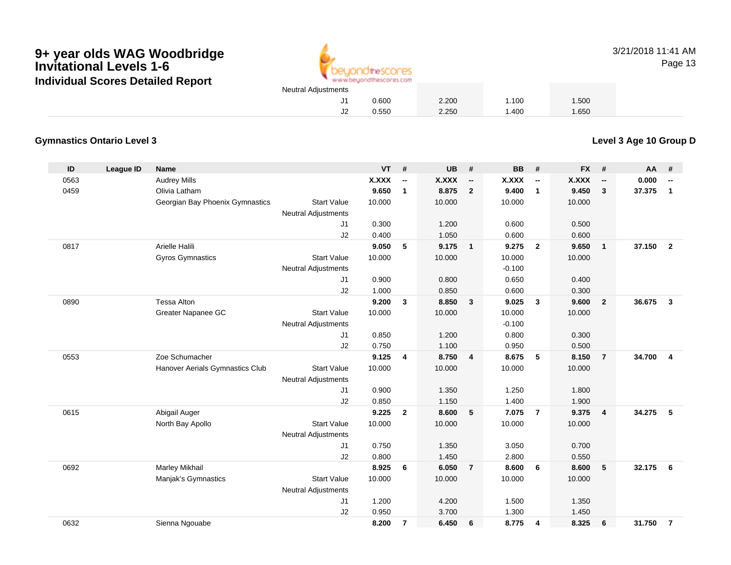

3/21/2018 11:41 AMPage 13

# **Gymnastics Ontario Level 3**

**Level 3 Age 10 Group D**

| ID   | <b>League ID</b> | <b>Name</b>                     |                            | <b>VT</b> | #                        | <b>UB</b> | #                        | <b>BB</b> | #                        | <b>FX</b>    | #                        | AA     | #                        |
|------|------------------|---------------------------------|----------------------------|-----------|--------------------------|-----------|--------------------------|-----------|--------------------------|--------------|--------------------------|--------|--------------------------|
| 0563 |                  | <b>Audrey Mills</b>             |                            | X.XXX     | $\overline{\phantom{a}}$ | X.XXX     | $\overline{\phantom{a}}$ | X.XXX     | $\overline{\phantom{a}}$ | <b>X.XXX</b> | $\overline{\phantom{a}}$ | 0.000  | $\overline{\phantom{a}}$ |
| 0459 |                  | Olivia Latham                   |                            | 9.650     | $\mathbf{1}$             | 8.875     | $\overline{2}$           | 9.400     | $\mathbf{1}$             | 9.450        | 3                        | 37.375 | 1                        |
|      |                  | Georgian Bay Phoenix Gymnastics | <b>Start Value</b>         | 10.000    |                          | 10.000    |                          | 10.000    |                          | 10.000       |                          |        |                          |
|      |                  |                                 | <b>Neutral Adjustments</b> |           |                          |           |                          |           |                          |              |                          |        |                          |
|      |                  |                                 | J <sub>1</sub>             | 0.300     |                          | 1.200     |                          | 0.600     |                          | 0.500        |                          |        |                          |
|      |                  |                                 | J2                         | 0.400     |                          | 1.050     |                          | 0.600     |                          | 0.600        |                          |        |                          |
| 0817 |                  | Arielle Halili                  |                            | 9.050     | 5                        | 9.175     | $\overline{1}$           | 9.275     | $\overline{\mathbf{2}}$  | 9.650        | $\overline{1}$           | 37.150 | $\overline{\mathbf{2}}$  |
|      |                  | <b>Gyros Gymnastics</b>         | <b>Start Value</b>         | 10.000    |                          | 10.000    |                          | 10.000    |                          | 10.000       |                          |        |                          |
|      |                  |                                 | <b>Neutral Adjustments</b> |           |                          |           |                          | $-0.100$  |                          |              |                          |        |                          |
|      |                  |                                 | J <sub>1</sub>             | 0.900     |                          | 0.800     |                          | 0.650     |                          | 0.400        |                          |        |                          |
|      |                  |                                 | J2                         | 1.000     |                          | 0.850     |                          | 0.600     |                          | 0.300        |                          |        |                          |
| 0890 |                  | <b>Tessa Alton</b>              |                            | 9.200     | $\mathbf{3}$             | 8.850     | $\mathbf{3}$             | 9.025     | $\mathbf{3}$             | 9.600        | $\overline{2}$           | 36.675 | $\mathbf{3}$             |
|      |                  | Greater Napanee GC              | <b>Start Value</b>         | 10.000    |                          | 10.000    |                          | 10.000    |                          | 10.000       |                          |        |                          |
|      |                  |                                 | <b>Neutral Adjustments</b> |           |                          |           |                          | $-0.100$  |                          |              |                          |        |                          |
|      |                  |                                 | J <sub>1</sub>             | 0.850     |                          | 1.200     |                          | 0.800     |                          | 0.300        |                          |        |                          |
|      |                  |                                 | J2                         | 0.750     |                          | 1.100     |                          | 0.950     |                          | 0.500        |                          |        |                          |
| 0553 |                  | Zoe Schumacher                  |                            | 9.125     | $\overline{4}$           | 8.750     | $\overline{4}$           | 8.675     | 5                        | 8.150        | $\overline{7}$           | 34.700 | $\overline{4}$           |
|      |                  | Hanover Aerials Gymnastics Club | <b>Start Value</b>         | 10.000    |                          | 10.000    |                          | 10.000    |                          | 10.000       |                          |        |                          |
|      |                  |                                 | <b>Neutral Adjustments</b> |           |                          |           |                          |           |                          |              |                          |        |                          |
|      |                  |                                 | J <sub>1</sub>             | 0.900     |                          | 1.350     |                          | 1.250     |                          | 1.800        |                          |        |                          |
|      |                  |                                 | J2                         | 0.850     |                          | 1.150     |                          | 1.400     |                          | 1.900        |                          |        |                          |
| 0615 |                  | Abigail Auger                   |                            | 9.225     | $\overline{2}$           | 8.600     | 5                        | 7.075     | $\overline{7}$           | 9.375        | $\overline{4}$           | 34.275 | 5                        |
|      |                  | North Bay Apollo                | <b>Start Value</b>         | 10.000    |                          | 10.000    |                          | 10.000    |                          | 10.000       |                          |        |                          |
|      |                  |                                 | <b>Neutral Adjustments</b> |           |                          |           |                          |           |                          |              |                          |        |                          |
|      |                  |                                 | J <sub>1</sub>             | 0.750     |                          | 1.350     |                          | 3.050     |                          | 0.700        |                          |        |                          |
|      |                  |                                 | J2                         | 0.800     |                          | 1.450     |                          | 2.800     |                          | 0.550        |                          |        |                          |
| 0692 |                  | <b>Marley Mikhail</b>           |                            | 8.925     | 6                        | 6.050     | $\overline{7}$           | 8.600     | 6                        | 8.600        | 5                        | 32.175 | 6                        |
|      |                  | Manjak's Gymnastics             | <b>Start Value</b>         | 10.000    |                          | 10.000    |                          | 10.000    |                          | 10.000       |                          |        |                          |
|      |                  |                                 | <b>Neutral Adjustments</b> |           |                          |           |                          |           |                          |              |                          |        |                          |
|      |                  |                                 | J1                         | 1.200     |                          | 4.200     |                          | 1.500     |                          | 1.350        |                          |        |                          |
|      |                  |                                 | J2                         | 0.950     |                          | 3.700     |                          | 1.300     |                          | 1.450        |                          |        |                          |
| 0632 |                  | Sienna Ngouabe                  |                            | 8.200     | $\overline{7}$           | 6.450     | 6                        | 8.775     | 4                        | 8.325        | 6                        | 31.750 | $\overline{7}$           |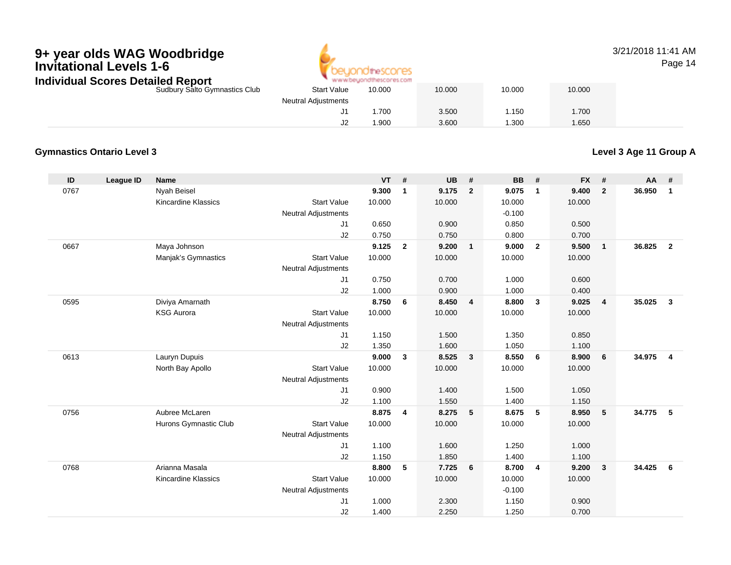

## 3/21/2018 11:41 AMPage 14

| Individual Scores Detailed Report |                            | www.beyondthescores.com |        |        |        |
|-----------------------------------|----------------------------|-------------------------|--------|--------|--------|
| Sudbury Salto Gymnastics Club     | <b>Start Value</b>         | 10.000                  | 10.000 | 10.000 | 10.000 |
|                                   | <b>Neutral Adjustments</b> |                         |        |        |        |
|                                   |                            | .700                    | 3.500  | .150   | .700   |
|                                   | J2                         | .900                    | 3.600  | .300   | 1.650  |

# **Gymnastics Ontario Level 3**

**Level 3 Age 11 Group A**

| ID   | League ID | <b>Name</b>                |                            | <b>VT</b> | #              | <b>UB</b> | #              | <b>BB</b> | #              | <b>FX</b> | #                       | AA     | #              |
|------|-----------|----------------------------|----------------------------|-----------|----------------|-----------|----------------|-----------|----------------|-----------|-------------------------|--------|----------------|
| 0767 |           | Nyah Beisel                |                            | 9.300     | $\mathbf{1}$   | 9.175     | $\overline{2}$ | 9.075     | $\mathbf{1}$   | 9.400     | $\overline{2}$          | 36.950 | $\overline{1}$ |
|      |           | <b>Kincardine Klassics</b> | <b>Start Value</b>         | 10.000    |                | 10.000    |                | 10.000    |                | 10.000    |                         |        |                |
|      |           |                            | <b>Neutral Adjustments</b> |           |                |           |                | $-0.100$  |                |           |                         |        |                |
|      |           |                            | J1                         | 0.650     |                | 0.900     |                | 0.850     |                | 0.500     |                         |        |                |
|      |           |                            | J2                         | 0.750     |                | 0.750     |                | 0.800     |                | 0.700     |                         |        |                |
| 0667 |           | Maya Johnson               |                            | 9.125     | $\overline{2}$ | 9.200     | $\mathbf{1}$   | 9.000     | $\mathbf{2}$   | 9.500     | $\overline{1}$          | 36.825 | $\overline{2}$ |
|      |           | Manjak's Gymnastics        | <b>Start Value</b>         | 10.000    |                | 10.000    |                | 10.000    |                | 10.000    |                         |        |                |
|      |           |                            | <b>Neutral Adjustments</b> |           |                |           |                |           |                |           |                         |        |                |
|      |           |                            | J1                         | 0.750     |                | 0.700     |                | 1.000     |                | 0.600     |                         |        |                |
|      |           |                            | J2                         | 1.000     |                | 0.900     |                | 1.000     |                | 0.400     |                         |        |                |
| 0595 |           | Diviya Amarnath            |                            | 8.750     | 6              | 8.450     | $\overline{4}$ | 8.800     | $\mathbf{3}$   | 9.025     | $\overline{4}$          | 35.025 | $\mathbf{3}$   |
|      |           | <b>KSG Aurora</b>          | <b>Start Value</b>         | 10.000    |                | 10.000    |                | 10.000    |                | 10.000    |                         |        |                |
|      |           |                            | <b>Neutral Adjustments</b> |           |                |           |                |           |                |           |                         |        |                |
|      |           |                            | J1                         | 1.150     |                | 1.500     |                | 1.350     |                | 0.850     |                         |        |                |
|      |           |                            | J2                         | 1.350     |                | 1.600     |                | 1.050     |                | 1.100     |                         |        |                |
| 0613 |           | Lauryn Dupuis              |                            | 9.000     | $\mathbf{3}$   | 8.525     | $\mathbf{3}$   | 8.550     | 6              | 8.900     | 6                       | 34.975 | $\overline{4}$ |
|      |           | North Bay Apollo           | <b>Start Value</b>         | 10.000    |                | 10.000    |                | 10.000    |                | 10.000    |                         |        |                |
|      |           |                            | <b>Neutral Adjustments</b> |           |                |           |                |           |                |           |                         |        |                |
|      |           |                            | J1                         | 0.900     |                | 1.400     |                | 1.500     |                | 1.050     |                         |        |                |
|      |           |                            | J2                         | 1.100     |                | 1.550     |                | 1.400     |                | 1.150     |                         |        |                |
| 0756 |           | Aubree McLaren             |                            | 8.875     | 4              | 8.275     | 5              | 8.675     | 5              | 8.950     | $-5$                    | 34.775 | 5              |
|      |           | Hurons Gymnastic Club      | <b>Start Value</b>         | 10.000    |                | 10.000    |                | 10.000    |                | 10.000    |                         |        |                |
|      |           |                            | <b>Neutral Adjustments</b> |           |                |           |                |           |                |           |                         |        |                |
|      |           |                            | J1                         | 1.100     |                | 1.600     |                | 1.250     |                | 1.000     |                         |        |                |
|      |           |                            | J2                         | 1.150     |                | 1.850     |                | 1.400     |                | 1.100     |                         |        |                |
| 0768 |           | Arianna Masala             |                            | 8.800     | 5              | 7.725     | 6              | 8.700     | $\overline{4}$ | 9.200     | $\overline{\mathbf{3}}$ | 34.425 | - 6            |
|      |           | <b>Kincardine Klassics</b> | <b>Start Value</b>         | 10.000    |                | 10.000    |                | 10.000    |                | 10.000    |                         |        |                |
|      |           |                            | <b>Neutral Adjustments</b> |           |                |           |                | $-0.100$  |                |           |                         |        |                |
|      |           |                            | J1                         | 1.000     |                | 2.300     |                | 1.150     |                | 0.900     |                         |        |                |
|      |           |                            | J2                         | 1.400     |                | 2.250     |                | 1.250     |                | 0.700     |                         |        |                |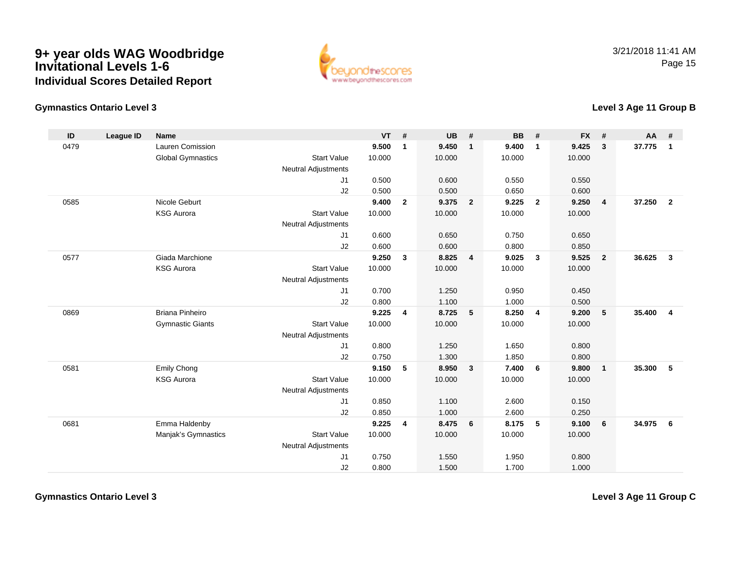

# **Gymnastics Ontario Level 3**

## **Level 3 Age 11 Group B**

| ID   | <b>League ID</b> | <b>Name</b>              |                            | <b>VT</b> | #                       | <b>UB</b> | #                       | <b>BB</b> | #              | <b>FX</b> | #              | $AA$ # |                         |
|------|------------------|--------------------------|----------------------------|-----------|-------------------------|-----------|-------------------------|-----------|----------------|-----------|----------------|--------|-------------------------|
| 0479 |                  | Lauren Comission         |                            | 9.500     | $\mathbf{1}$            | 9.450     | $\overline{1}$          | 9.400     | $\overline{1}$ | 9.425     | 3              | 37.775 | $\overline{1}$          |
|      |                  | <b>Global Gymnastics</b> | <b>Start Value</b>         | 10.000    |                         | 10.000    |                         | 10.000    |                | 10.000    |                |        |                         |
|      |                  |                          | <b>Neutral Adjustments</b> |           |                         |           |                         |           |                |           |                |        |                         |
|      |                  |                          | J1                         | 0.500     |                         | 0.600     |                         | 0.550     |                | 0.550     |                |        |                         |
|      |                  |                          | J2                         | 0.500     |                         | 0.500     |                         | 0.650     |                | 0.600     |                |        |                         |
| 0585 |                  | Nicole Geburt            |                            | 9.400     | $\overline{2}$          | 9.375     | $\overline{\mathbf{2}}$ | 9.225     | $\overline{2}$ | 9.250     | 4              | 37.250 | $\overline{\mathbf{2}}$ |
|      |                  | <b>KSG Aurora</b>        | <b>Start Value</b>         | 10.000    |                         | 10.000    |                         | 10.000    |                | 10.000    |                |        |                         |
|      |                  |                          | <b>Neutral Adjustments</b> |           |                         |           |                         |           |                |           |                |        |                         |
|      |                  |                          | J1                         | 0.600     |                         | 0.650     |                         | 0.750     |                | 0.650     |                |        |                         |
|      |                  |                          | J2                         | 0.600     |                         | 0.600     |                         | 0.800     |                | 0.850     |                |        |                         |
| 0577 |                  | Giada Marchione          |                            | 9.250     | $\mathbf{3}$            | 8.825     | $\overline{4}$          | 9.025     | $\mathbf{3}$   | 9.525     | $\overline{2}$ | 36.625 | $\mathbf{3}$            |
|      |                  | <b>KSG Aurora</b>        | <b>Start Value</b>         | 10.000    |                         | 10.000    |                         | 10.000    |                | 10.000    |                |        |                         |
|      |                  |                          | <b>Neutral Adjustments</b> |           |                         |           |                         |           |                |           |                |        |                         |
|      |                  |                          | J1                         | 0.700     |                         | 1.250     |                         | 0.950     |                | 0.450     |                |        |                         |
|      |                  |                          | J2                         | 0.800     |                         | 1.100     |                         | 1.000     |                | 0.500     |                |        |                         |
| 0869 |                  | <b>Briana Pinheiro</b>   |                            | 9.225     | $\overline{\mathbf{4}}$ | 8.725     | $-5$                    | 8.250     | $\overline{4}$ | 9.200     | 5              | 35.400 | $\overline{4}$          |
|      |                  | <b>Gymnastic Giants</b>  | <b>Start Value</b>         | 10.000    |                         | 10.000    |                         | 10.000    |                | 10.000    |                |        |                         |
|      |                  |                          | <b>Neutral Adjustments</b> |           |                         |           |                         |           |                |           |                |        |                         |
|      |                  |                          | J1                         | 0.800     |                         | 1.250     |                         | 1.650     |                | 0.800     |                |        |                         |
|      |                  |                          | J2                         | 0.750     |                         | 1.300     |                         | 1.850     |                | 0.800     |                |        |                         |
| 0581 |                  | Emily Chong              |                            | 9.150     | 5                       | 8.950     | $\overline{\mathbf{3}}$ | 7.400     | 6              | 9.800     | $\mathbf{1}$   | 35.300 | 5                       |
|      |                  | <b>KSG Aurora</b>        | <b>Start Value</b>         | 10.000    |                         | 10.000    |                         | 10.000    |                | 10.000    |                |        |                         |
|      |                  |                          | <b>Neutral Adjustments</b> |           |                         |           |                         |           |                |           |                |        |                         |
|      |                  |                          | J1                         | 0.850     |                         | 1.100     |                         | 2.600     |                | 0.150     |                |        |                         |
|      |                  |                          | J2                         | 0.850     |                         | 1.000     |                         | 2.600     |                | 0.250     |                |        |                         |
| 0681 |                  | Emma Haldenby            |                            | 9.225     | $\overline{4}$          | 8.475     | 6                       | 8.175     | 5              | 9.100     | 6              | 34.975 | 6                       |
|      |                  | Manjak's Gymnastics      | <b>Start Value</b>         | 10.000    |                         | 10.000    |                         | 10.000    |                | 10.000    |                |        |                         |
|      |                  |                          | <b>Neutral Adjustments</b> |           |                         |           |                         |           |                |           |                |        |                         |
|      |                  |                          | J1                         | 0.750     |                         | 1.550     |                         | 1.950     |                | 0.800     |                |        |                         |
|      |                  |                          | J2                         | 0.800     |                         | 1.500     |                         | 1.700     |                | 1.000     |                |        |                         |

**Level 3 Age 11 Group C**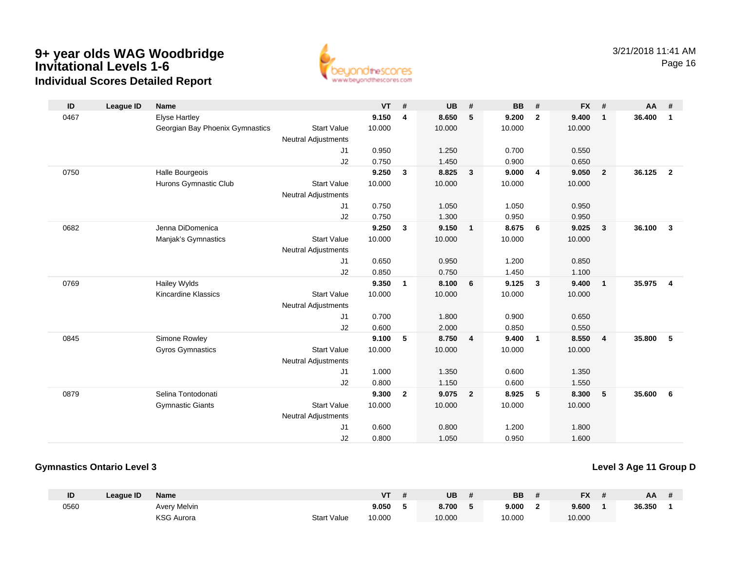

| ID   | <b>League ID</b> | <b>Name</b>                     |                            | <b>VT</b> | #              | <b>UB</b> | #                       | <b>BB</b> | #              | <b>FX</b> | #                       | AA     | #                       |
|------|------------------|---------------------------------|----------------------------|-----------|----------------|-----------|-------------------------|-----------|----------------|-----------|-------------------------|--------|-------------------------|
| 0467 |                  | <b>Elyse Hartley</b>            |                            | 9.150     | 4              | 8.650     | 5                       | 9.200     | $\overline{2}$ | 9.400     | $\mathbf{1}$            | 36.400 | $\overline{1}$          |
|      |                  | Georgian Bay Phoenix Gymnastics | <b>Start Value</b>         | 10.000    |                | 10.000    |                         | 10.000    |                | 10.000    |                         |        |                         |
|      |                  |                                 | <b>Neutral Adjustments</b> |           |                |           |                         |           |                |           |                         |        |                         |
|      |                  |                                 | J1                         | 0.950     |                | 1.250     |                         | 0.700     |                | 0.550     |                         |        |                         |
|      |                  |                                 | J2                         | 0.750     |                | 1.450     |                         | 0.900     |                | 0.650     |                         |        |                         |
| 0750 |                  | Halle Bourgeois                 |                            | 9.250     | 3              | 8.825     | 3                       | 9.000     | 4              | 9.050     | $\overline{\mathbf{2}}$ | 36.125 | $\overline{\mathbf{2}}$ |
|      |                  | Hurons Gymnastic Club           | <b>Start Value</b>         | 10.000    |                | 10.000    |                         | 10.000    |                | 10.000    |                         |        |                         |
|      |                  |                                 | <b>Neutral Adjustments</b> |           |                |           |                         |           |                |           |                         |        |                         |
|      |                  |                                 | J1                         | 0.750     |                | 1.050     |                         | 1.050     |                | 0.950     |                         |        |                         |
|      |                  |                                 | J2                         | 0.750     |                | 1.300     |                         | 0.950     |                | 0.950     |                         |        |                         |
| 0682 |                  | Jenna DiDomenica                |                            | 9.250     | 3              | 9.150     | $\mathbf{1}$            | 8.675     | 6              | 9.025     | $\overline{\mathbf{3}}$ | 36.100 | $\overline{\mathbf{3}}$ |
|      |                  | Manjak's Gymnastics             | <b>Start Value</b>         | 10.000    |                | 10.000    |                         | 10.000    |                | 10.000    |                         |        |                         |
|      |                  |                                 | <b>Neutral Adjustments</b> |           |                |           |                         |           |                |           |                         |        |                         |
|      |                  |                                 | J1                         | 0.650     |                | 0.950     |                         | 1.200     |                | 0.850     |                         |        |                         |
|      |                  |                                 | J2                         | 0.850     |                | 0.750     |                         | 1.450     |                | 1.100     |                         |        |                         |
| 0769 |                  | Hailey Wylds                    |                            | 9.350     | $\mathbf{1}$   | 8.100     | 6                       | 9.125     | $\mathbf{3}$   | 9.400     | $\overline{1}$          | 35.975 | $\overline{4}$          |
|      |                  | <b>Kincardine Klassics</b>      | <b>Start Value</b>         | 10.000    |                | 10.000    |                         | 10.000    |                | 10.000    |                         |        |                         |
|      |                  |                                 | <b>Neutral Adjustments</b> |           |                |           |                         |           |                |           |                         |        |                         |
|      |                  |                                 | J1                         | 0.700     |                | 1.800     |                         | 0.900     |                | 0.650     |                         |        |                         |
|      |                  |                                 | J2                         | 0.600     |                | 2.000     |                         | 0.850     |                | 0.550     |                         |        |                         |
| 0845 |                  | Simone Rowley                   |                            | 9.100     | 5              | 8.750     | $\overline{\mathbf{4}}$ | 9.400     | $\mathbf{1}$   | 8.550     | $\overline{4}$          | 35.800 | - 5                     |
|      |                  | <b>Gyros Gymnastics</b>         | <b>Start Value</b>         | 10.000    |                | 10.000    |                         | 10.000    |                | 10.000    |                         |        |                         |
|      |                  |                                 | <b>Neutral Adjustments</b> |           |                |           |                         |           |                |           |                         |        |                         |
|      |                  |                                 | J1                         | 1.000     |                | 1.350     |                         | 0.600     |                | 1.350     |                         |        |                         |
|      |                  |                                 | J2                         | 0.800     |                | 1.150     |                         | 0.600     |                | 1.550     |                         |        |                         |
| 0879 |                  | Selina Tontodonati              |                            | 9.300     | $\overline{2}$ | 9.075     | $\overline{2}$          | 8.925     | 5              | 8.300     | $-5$                    | 35.600 | 6                       |
|      |                  | <b>Gymnastic Giants</b>         | <b>Start Value</b>         | 10.000    |                | 10.000    |                         | 10.000    |                | 10.000    |                         |        |                         |
|      |                  |                                 | <b>Neutral Adjustments</b> |           |                |           |                         |           |                |           |                         |        |                         |
|      |                  |                                 | J1                         | 0.600     |                | 0.800     |                         | 1.200     |                | 1.800     |                         |        |                         |
|      |                  |                                 | J2                         | 0.800     |                | 1.050     |                         | 0.950     |                | 1.600     |                         |        |                         |

## **Gymnastics Ontario Level 3**

**Level 3 Age 11 Group D**

| ID   | League ID | <b>Name</b>       |                    | V٦     | UB     | <b>BB</b> | <b>FX</b> | AA     |  |
|------|-----------|-------------------|--------------------|--------|--------|-----------|-----------|--------|--|
| 0560 |           | Avery Melvin      |                    | 9.050  | 8.700  | 9.000     | 9.600     | 36.350 |  |
|      |           | <b>KSG Aurora</b> | <b>Start Value</b> | 10.000 | 10.000 | 10.000    | 10.000    |        |  |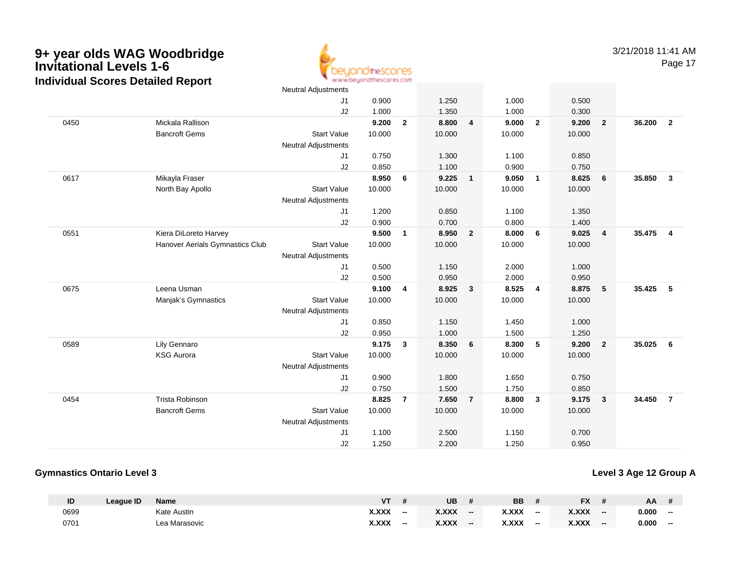www.beyondthescores.com

|      |                                 | <b>Neutral Adjustments</b> |        |                |        |                         |        |                 |        |                         |        |                         |
|------|---------------------------------|----------------------------|--------|----------------|--------|-------------------------|--------|-----------------|--------|-------------------------|--------|-------------------------|
|      |                                 | J1                         | 0.900  |                | 1.250  |                         | 1.000  |                 | 0.500  |                         |        |                         |
|      |                                 | J2                         | 1.000  |                | 1.350  |                         | 1.000  |                 | 0.300  |                         |        |                         |
| 0450 | Mickala Rallison                |                            | 9.200  | $\mathbf{2}$   | 8.800  | $\overline{\mathbf{4}}$ | 9.000  | $\overline{2}$  | 9.200  | $\overline{\mathbf{2}}$ | 36.200 | $\overline{\mathbf{2}}$ |
|      | <b>Bancroft Gems</b>            | <b>Start Value</b>         | 10.000 |                | 10.000 |                         | 10.000 |                 | 10.000 |                         |        |                         |
|      |                                 | <b>Neutral Adjustments</b> |        |                |        |                         |        |                 |        |                         |        |                         |
|      |                                 | J1                         | 0.750  |                | 1.300  |                         | 1.100  |                 | 0.850  |                         |        |                         |
|      |                                 | J2                         | 0.850  |                | 1.100  |                         | 0.900  |                 | 0.750  |                         |        |                         |
| 0617 | Mikayla Fraser                  |                            | 8.950  | 6              | 9.225  | $\overline{1}$          | 9.050  | $\overline{1}$  | 8.625  | 6                       | 35.850 | $\mathbf{3}$            |
|      | North Bay Apollo                | <b>Start Value</b>         | 10.000 |                | 10.000 |                         | 10.000 |                 | 10.000 |                         |        |                         |
|      |                                 | <b>Neutral Adjustments</b> |        |                |        |                         |        |                 |        |                         |        |                         |
|      |                                 | J1                         | 1.200  |                | 0.850  |                         | 1.100  |                 | 1.350  |                         |        |                         |
|      |                                 | J2                         | 0.900  |                | 0.700  |                         | 0.800  |                 | 1.400  |                         |        |                         |
| 0551 | Kiera DiLoreto Harvey           |                            | 9.500  | $\mathbf{1}$   | 8.950  | $\overline{2}$          | 8.000  | 6               | 9.025  | $\overline{\mathbf{4}}$ | 35.475 | $\overline{4}$          |
|      | Hanover Aerials Gymnastics Club | <b>Start Value</b>         | 10.000 |                | 10.000 |                         | 10.000 |                 | 10.000 |                         |        |                         |
|      |                                 | <b>Neutral Adjustments</b> |        |                |        |                         |        |                 |        |                         |        |                         |
|      |                                 | J1                         | 0.500  |                | 1.150  |                         | 2.000  |                 | 1.000  |                         |        |                         |
|      |                                 | J2                         | 0.500  |                | 0.950  |                         | 2.000  |                 | 0.950  |                         |        |                         |
| 0675 | Leena Usman                     |                            | 9.100  | 4              | 8.925  | $\mathbf{3}$            | 8.525  | 4               | 8.875  | $5\phantom{.0}$         | 35.425 | 5                       |
|      | Manjak's Gymnastics             | <b>Start Value</b>         | 10.000 |                | 10.000 |                         | 10.000 |                 | 10.000 |                         |        |                         |
|      |                                 | <b>Neutral Adjustments</b> |        |                |        |                         |        |                 |        |                         |        |                         |
|      |                                 | J1                         | 0.850  |                | 1.150  |                         | 1.450  |                 | 1.000  |                         |        |                         |
|      |                                 | J2                         | 0.950  |                | 1.000  |                         | 1.500  |                 | 1.250  |                         |        |                         |
| 0589 | Lily Gennaro                    |                            | 9.175  | 3              | 8.350  | $6\phantom{1}6$         | 8.300  | $5\phantom{.0}$ | 9.200  | $\overline{\mathbf{2}}$ | 35.025 | 6                       |
|      | <b>KSG Aurora</b>               | <b>Start Value</b>         | 10.000 |                | 10.000 |                         | 10.000 |                 | 10.000 |                         |        |                         |
|      |                                 | Neutral Adjustments        |        |                |        |                         |        |                 |        |                         |        |                         |
|      |                                 | J1                         | 0.900  |                | 1.800  |                         | 1.650  |                 | 0.750  |                         |        |                         |
|      |                                 | J2                         | 0.750  |                | 1.500  |                         | 1.750  |                 | 0.850  |                         |        |                         |
| 0454 | Trista Robinson                 |                            | 8.825  | $\overline{7}$ | 7.650  | $\overline{7}$          | 8.800  | $\mathbf{3}$    | 9.175  | $\overline{\mathbf{3}}$ | 34.450 | $\overline{7}$          |
|      | <b>Bancroft Gems</b>            | <b>Start Value</b>         | 10.000 |                | 10.000 |                         | 10.000 |                 | 10.000 |                         |        |                         |
|      |                                 | Neutral Adjustments        |        |                |        |                         |        |                 |        |                         |        |                         |
|      |                                 | J1                         | 1.100  |                | 2.500  |                         | 1.150  |                 | 0.700  |                         |        |                         |
|      |                                 | J2                         | 1.250  |                | 2.200  |                         | 1.250  |                 | 0.950  |                         |        |                         |
|      |                                 |                            |        |                |        |                         |        |                 |        |                         |        |                         |

## **Gymnastics Ontario Level 3**

## **Level 3 Age 12 Group A**

| ID   | League ID | <b>Name</b>   | $V$ T |    | UB           |    | <b>BB</b>    |       | <b>FX</b> |     | AA    |    |
|------|-----------|---------------|-------|----|--------------|----|--------------|-------|-----------|-----|-------|----|
| 0699 |           | Kate Austin   | X.XXX | -- | <b>X.XXX</b> | -- | <b>X.XXX</b> | $- -$ | X.XXX     | $-$ | 0.000 | -- |
| 0701 |           | Lea Marasovic | X.XXX |    | <b>X.XXX</b> | -- | X.XXX        | $- -$ | X.XXX     | $-$ | 0.000 | -- |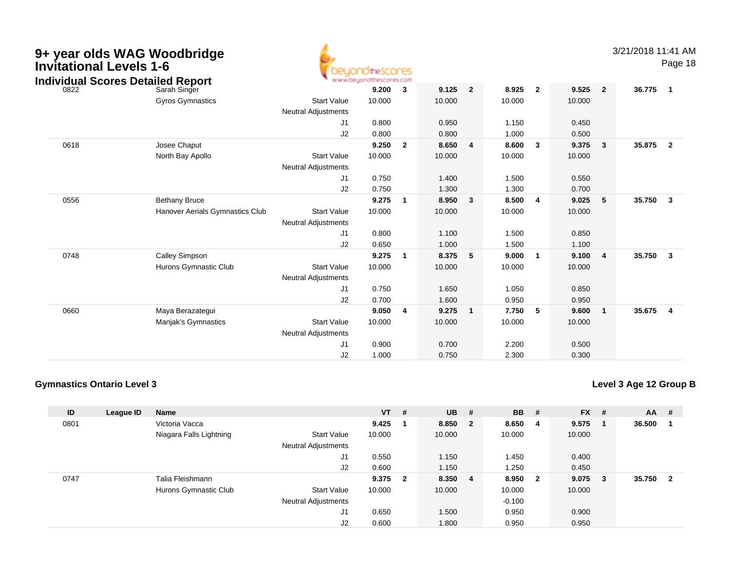| 9+ year olds WAG Woodbridge<br><b>Invitational Levels 1-6</b><br><b>Individual Scores Detailed Report</b> |                                 |                                                  | <b>YdtheSCONES</b><br>www.beyondthescores.com |                         |        |                |        |                |        |                         | 3/21/2018 11:41 AM | Page 18                 |
|-----------------------------------------------------------------------------------------------------------|---------------------------------|--------------------------------------------------|-----------------------------------------------|-------------------------|--------|----------------|--------|----------------|--------|-------------------------|--------------------|-------------------------|
| 0822                                                                                                      | Sarah Singer                    |                                                  | 9.200                                         | $\mathbf{3}$            | 9.125  | $\overline{2}$ | 8.925  | $\overline{2}$ | 9.525  | $\overline{2}$          | 36.775             | $\overline{\mathbf{1}}$ |
|                                                                                                           | <b>Gyros Gymnastics</b>         | <b>Start Value</b><br><b>Neutral Adjustments</b> | 10.000                                        |                         | 10.000 |                | 10.000 |                | 10.000 |                         |                    |                         |
|                                                                                                           |                                 | J1                                               | 0.800                                         |                         | 0.950  |                | 1.150  |                | 0.450  |                         |                    |                         |
|                                                                                                           |                                 | J2                                               | 0.800                                         |                         | 0.800  |                | 1.000  |                | 0.500  |                         |                    |                         |
| 0618                                                                                                      | Josee Chaput                    |                                                  | 9.250                                         | $\overline{\mathbf{2}}$ | 8.650  | 4              | 8.600  | $\mathbf{3}$   | 9.375  | 3                       | 35.875             | $\overline{\mathbf{2}}$ |
|                                                                                                           | North Bay Apollo                | <b>Start Value</b><br><b>Neutral Adjustments</b> | 10.000                                        |                         | 10.000 |                | 10.000 |                | 10.000 |                         |                    |                         |
|                                                                                                           |                                 | J1                                               | 0.750                                         |                         | 1.400  |                | 1.500  |                | 0.550  |                         |                    |                         |
|                                                                                                           |                                 | J2                                               | 0.750                                         |                         | 1.300  |                | 1.300  |                | 0.700  |                         |                    |                         |
| 0556                                                                                                      | <b>Bethany Bruce</b>            |                                                  | 9.275                                         | $\overline{\mathbf{1}}$ | 8.950  | 3              | 8.500  | $\overline{4}$ | 9.025  | 5                       | 35.750             | $\overline{\mathbf{3}}$ |
|                                                                                                           | Hanover Aerials Gymnastics Club | <b>Start Value</b><br><b>Neutral Adjustments</b> | 10.000                                        |                         | 10.000 |                | 10.000 |                | 10.000 |                         |                    |                         |
|                                                                                                           |                                 | J1                                               | 0.800                                         |                         | 1.100  |                | 1.500  |                | 0.850  |                         |                    |                         |
|                                                                                                           |                                 | J2                                               | 0.650                                         |                         | 1.000  |                | 1.500  |                | 1.100  |                         |                    |                         |
| 0748                                                                                                      | <b>Calley Simpson</b>           |                                                  | 9.275                                         | $\overline{\mathbf{1}}$ | 8.375  | 5              | 9.000  | $\overline{1}$ | 9.100  | $\overline{\mathbf{4}}$ | 35.750             | $\overline{\mathbf{3}}$ |
|                                                                                                           | Hurons Gymnastic Club           | <b>Start Value</b>                               | 10.000                                        |                         | 10.000 |                | 10.000 |                | 10.000 |                         |                    |                         |
|                                                                                                           |                                 | <b>Neutral Adjustments</b>                       |                                               |                         |        |                |        |                |        |                         |                    |                         |
|                                                                                                           |                                 | J1                                               | 0.750                                         |                         | 1.650  |                | 1.050  |                | 0.850  |                         |                    |                         |
|                                                                                                           |                                 | J2                                               | 0.700                                         |                         | 1.600  |                | 0.950  |                | 0.950  |                         |                    |                         |
| 0660                                                                                                      | Maya Berazategui                |                                                  | 9.050                                         | $\overline{4}$          | 9.275  | $\mathbf{1}$   | 7.750  | 5              | 9.600  | $\mathbf{1}$            | 35.675             | $\overline{4}$          |
|                                                                                                           | Manjak's Gymnastics             | <b>Start Value</b>                               | 10.000                                        |                         | 10.000 |                | 10.000 |                | 10.000 |                         |                    |                         |
|                                                                                                           |                                 | <b>Neutral Adjustments</b>                       |                                               |                         |        |                |        |                |        |                         |                    |                         |
|                                                                                                           |                                 | J1                                               | 0.900                                         |                         | 0.700  |                | 2.200  |                | 0.500  |                         |                    |                         |
|                                                                                                           |                                 | J2                                               | 1.000                                         |                         | 0.750  |                | 2.300  |                | 0.300  |                         |                    |                         |

**Level 3 Age 12 Group B**

| ID   | League ID | <b>Name</b>             |                            | <b>VT</b> | #                       | <b>UB</b> | #            | <b>BB</b> | #            | $FX$ # |     | $AA$ #   |  |
|------|-----------|-------------------------|----------------------------|-----------|-------------------------|-----------|--------------|-----------|--------------|--------|-----|----------|--|
| 0801 |           | Victoria Vacca          |                            | 9.425     |                         | 8.850     | $\mathbf{2}$ | 8.650     | 4            | 9.575  |     | 36.500   |  |
|      |           | Niagara Falls Lightning | <b>Start Value</b>         | 10.000    |                         | 10.000    |              | 10.000    |              | 10.000 |     |          |  |
|      |           |                         | <b>Neutral Adjustments</b> |           |                         |           |              |           |              |        |     |          |  |
|      |           |                         | J1                         | 0.550     |                         | 1.150     |              | 1.450     |              | 0.400  |     |          |  |
|      |           |                         | J2                         | 0.600     |                         | 1.150     |              | 1.250     |              | 0.450  |     |          |  |
| 0747 |           | Talia Fleishmann        |                            | 9.375     | $\overline{\mathbf{2}}$ | 8.350     | 4            | 8.950     | $\mathbf{2}$ | 9.075  | - 3 | 35.750 2 |  |
|      |           | Hurons Gymnastic Club   | <b>Start Value</b>         | 10.000    |                         | 10.000    |              | 10.000    |              | 10.000 |     |          |  |
|      |           |                         | <b>Neutral Adjustments</b> |           |                         |           |              | $-0.100$  |              |        |     |          |  |
|      |           |                         | J1                         | 0.650     |                         | 1.500     |              | 0.950     |              | 0.900  |     |          |  |
|      |           |                         | J2                         | 0.600     |                         | 1.800     |              | 0.950     |              | 0.950  |     |          |  |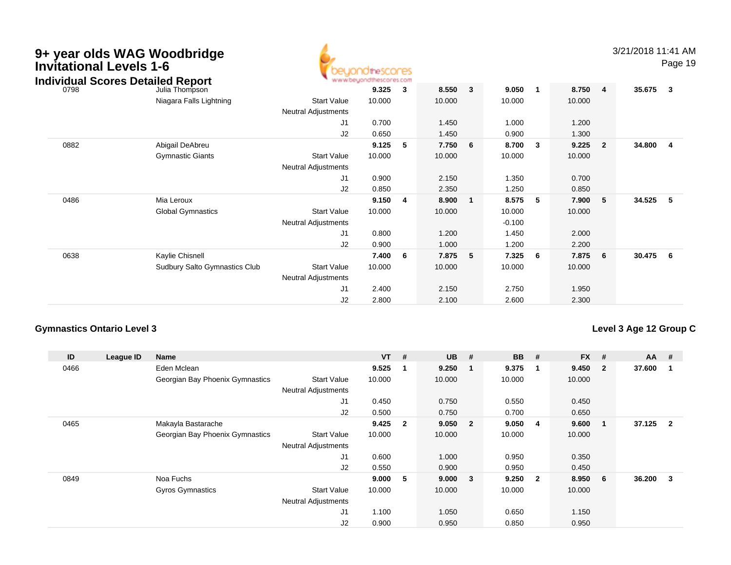| 9+ year olds WAG Woodbridge<br><b>Invitational Levels 1-6</b><br><b>Individual Scores Detailed Report</b> |                                                  |                                                                    | <b>10theSCOCES</b><br>www.beyondthescores.com |                         |                          |                         |                                      |                |                          |                         | 3/21/2018 11:41 AM | Page 19                 |
|-----------------------------------------------------------------------------------------------------------|--------------------------------------------------|--------------------------------------------------------------------|-----------------------------------------------|-------------------------|--------------------------|-------------------------|--------------------------------------|----------------|--------------------------|-------------------------|--------------------|-------------------------|
| 0798                                                                                                      | Julia Thompson                                   |                                                                    | 9.325                                         | 3                       | 8.550                    | $\overline{\mathbf{3}}$ | 9.050                                | $\overline{1}$ | 8.750                    | $\overline{\mathbf{4}}$ | 35.675             | $_{3}$                  |
|                                                                                                           | Niagara Falls Lightning                          | <b>Start Value</b><br>Neutral Adjustments                          | 10.000                                        |                         | 10.000                   |                         | 10.000                               |                | 10.000                   |                         |                    |                         |
|                                                                                                           |                                                  | J <sub>1</sub>                                                     | 0.700                                         |                         | 1.450                    |                         | 1.000                                |                | 1.200                    |                         |                    |                         |
| 0882                                                                                                      | Abigail DeAbreu                                  | J2                                                                 | 0.650<br>9.125                                | - 5                     | 1.450<br>7.750           | 6                       | 0.900<br>8.700                       | $\mathbf{3}$   | 1.300<br>9.225           | $\overline{2}$          | 34.800             | $\overline{\mathbf{4}}$ |
|                                                                                                           | <b>Gymnastic Giants</b>                          | <b>Start Value</b><br>Neutral Adjustments                          | 10.000                                        |                         | 10.000                   |                         | 10.000                               |                | 10.000                   |                         |                    |                         |
|                                                                                                           |                                                  | J <sub>1</sub><br>J2                                               | 0.900<br>0.850                                |                         | 2.150<br>2.350           |                         | 1.350<br>1.250                       |                | 0.700<br>0.850           |                         |                    |                         |
| 0486                                                                                                      | Mia Leroux<br><b>Global Gymnastics</b>           | <b>Start Value</b><br><b>Neutral Adjustments</b><br>J <sub>1</sub> | 9.150<br>10.000<br>0.800                      | $\overline{\mathbf{4}}$ | 8.900<br>10.000<br>1.200 | $\mathbf 1$             | 8.575<br>10.000<br>$-0.100$<br>1.450 | 5              | 7.900<br>10.000<br>2.000 | 5                       | 34.525             | - 5                     |
|                                                                                                           |                                                  | J <sub>2</sub>                                                     | 0.900                                         |                         | 1.000                    |                         | 1.200                                |                | 2.200                    |                         |                    |                         |
| 0638                                                                                                      | Kaylie Chisnell<br>Sudbury Salto Gymnastics Club | <b>Start Value</b><br>Neutral Adjustments                          | 7.400<br>10.000                               | - 6                     | 7.875<br>10.000          | 5                       | 7.325<br>10.000                      | - 6            | 7.875<br>10.000          | 6                       | 30.475             | - 6                     |
|                                                                                                           |                                                  | J <sub>1</sub><br>J <sub>2</sub>                                   | 2.400<br>2.800                                |                         | 2.150<br>2.100           |                         | 2.750<br>2.600                       |                | 1.950<br>2.300           |                         |                    |                         |

# **Level 3 Age 12 Group C**

| ID   | League ID | <b>Name</b>                     |                            | $VT$ #  |                         | <b>UB</b> | #                       | <b>BB</b> | #              | $FX$ # |                | AA     | #                        |
|------|-----------|---------------------------------|----------------------------|---------|-------------------------|-----------|-------------------------|-----------|----------------|--------|----------------|--------|--------------------------|
| 0466 |           | Eden Mclean                     |                            | 9.525   | $\overline{\mathbf{1}}$ | 9.250     | -1                      | 9.375     | 1              | 9.450  | $\overline{2}$ | 37.600 |                          |
|      |           | Georgian Bay Phoenix Gymnastics | <b>Start Value</b>         | 10.000  |                         | 10.000    |                         | 10.000    |                | 10.000 |                |        |                          |
|      |           |                                 | <b>Neutral Adjustments</b> |         |                         |           |                         |           |                |        |                |        |                          |
|      |           |                                 | J1                         | 0.450   |                         | 0.750     |                         | 0.550     |                | 0.450  |                |        |                          |
|      |           |                                 | J <sub>2</sub>             | 0.500   |                         | 0.750     |                         | 0.700     |                | 0.650  |                |        |                          |
| 0465 |           | Makayla Bastarache              |                            | 9.425   | $\overline{\mathbf{2}}$ | 9.050     | $\overline{2}$          | 9.050     | 4              | 9.600  |                | 37.125 | $\overline{\phantom{a}}$ |
|      |           | Georgian Bay Phoenix Gymnastics | <b>Start Value</b>         | 10.000  |                         | 10.000    |                         | 10.000    |                | 10.000 |                |        |                          |
|      |           |                                 | <b>Neutral Adjustments</b> |         |                         |           |                         |           |                |        |                |        |                          |
|      |           |                                 | J <sub>1</sub>             | 0.600   |                         | 1.000     |                         | 0.950     |                | 0.350  |                |        |                          |
|      |           |                                 | J <sub>2</sub>             | 0.550   |                         | 0.900     |                         | 0.950     |                | 0.450  |                |        |                          |
| 0849 |           | Noa Fuchs                       |                            | 9.000 5 |                         | 9.000     | $\overline{\mathbf{3}}$ | 9.250     | $\overline{2}$ | 8.950  | 6              | 36.200 | $\mathbf{3}$             |
|      |           | <b>Gyros Gymnastics</b>         | <b>Start Value</b>         | 10.000  |                         | 10.000    |                         | 10.000    |                | 10.000 |                |        |                          |
|      |           |                                 | <b>Neutral Adjustments</b> |         |                         |           |                         |           |                |        |                |        |                          |
|      |           |                                 | J1                         | 1.100   |                         | 1.050     |                         | 0.650     |                | 1.150  |                |        |                          |
|      |           |                                 | J <sub>2</sub>             | 0.900   |                         | 0.950     |                         | 0.850     |                | 0.950  |                |        |                          |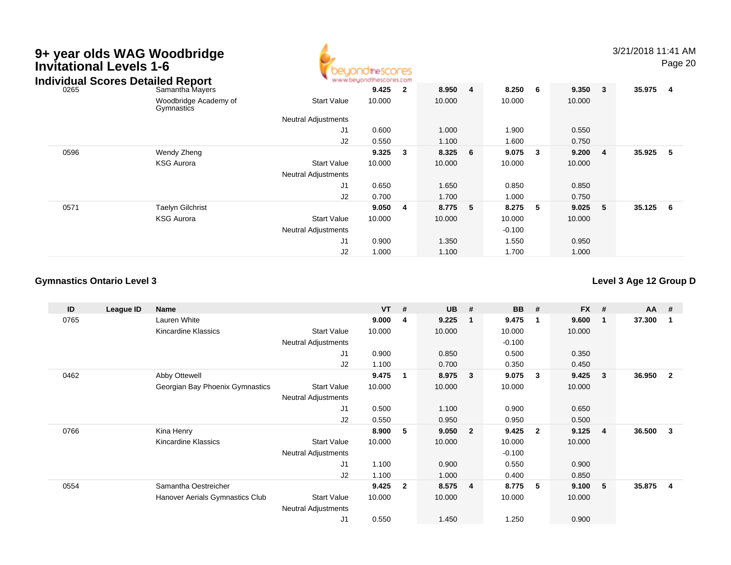| 9+ year olds WAG Woodbridge<br><b>Invitational Levels 1-6</b><br><b>Individual Scores Detailed Report</b> |                                     |                            |        |                         |        |   |          |     |        |                | 3/21/2018 11:41 AM | Page 20                 |  |
|-----------------------------------------------------------------------------------------------------------|-------------------------------------|----------------------------|--------|-------------------------|--------|---|----------|-----|--------|----------------|--------------------|-------------------------|--|
| 0265                                                                                                      | Samantha Mayers                     |                            | 9.425  | $\overline{\mathbf{2}}$ | 8.950  | 4 | 8.250    | - 6 | 9.350  | $\mathbf{3}$   | 35.975             | $\overline{\mathbf{4}}$ |  |
|                                                                                                           | Woodbridge Academy of<br>Gymnastics | <b>Start Value</b>         | 10.000 |                         | 10.000 |   | 10.000   |     | 10.000 |                |                    |                         |  |
|                                                                                                           |                                     | <b>Neutral Adjustments</b> |        |                         |        |   |          |     |        |                |                    |                         |  |
|                                                                                                           |                                     | J1                         | 0.600  |                         | 1.000  |   | 1.900    |     | 0.550  |                |                    |                         |  |
|                                                                                                           |                                     | J2                         | 0.550  |                         | 1.100  |   | 1.600    |     | 0.750  |                |                    |                         |  |
| 0596                                                                                                      | Wendy Zheng                         |                            | 9.325  | 3                       | 8.325  | 6 | 9.075    | 3   | 9.200  | $\overline{4}$ | 35.925             | 5                       |  |
|                                                                                                           | <b>KSG Aurora</b>                   | <b>Start Value</b>         | 10.000 |                         | 10.000 |   | 10.000   |     | 10.000 |                |                    |                         |  |
|                                                                                                           |                                     | <b>Neutral Adjustments</b> |        |                         |        |   |          |     |        |                |                    |                         |  |
|                                                                                                           |                                     | J1                         | 0.650  |                         | 1.650  |   | 0.850    |     | 0.850  |                |                    |                         |  |
|                                                                                                           |                                     | J2                         | 0.700  |                         | 1.700  |   | 1.000    |     | 0.750  |                |                    |                         |  |
| 0571                                                                                                      | <b>Taelyn Gilchrist</b>             |                            | 9.050  | -4                      | 8.775  | 5 | 8.275    | 5   | 9.025  | 5              | 35.125             | 6 <sup>6</sup>          |  |
|                                                                                                           | <b>KSG Aurora</b>                   | <b>Start Value</b>         | 10.000 |                         | 10.000 |   | 10.000   |     | 10.000 |                |                    |                         |  |
|                                                                                                           |                                     | Neutral Adjustments        |        |                         |        |   | $-0.100$ |     |        |                |                    |                         |  |
|                                                                                                           |                                     | J1                         | 0.900  |                         | 1.350  |   | 1.550    |     | 0.950  |                |                    |                         |  |
|                                                                                                           |                                     | J2                         | 1.000  |                         | 1.100  |   | 1.700    |     | 1.000  |                |                    |                         |  |

**Level 3 Age 12 Group D**

| ID   | League ID | Name                            |                            | $VT$ # |                | <b>UB</b> | #                       | <b>BB</b> | #            | $FX$ # |                | <b>AA</b> | #              |
|------|-----------|---------------------------------|----------------------------|--------|----------------|-----------|-------------------------|-----------|--------------|--------|----------------|-----------|----------------|
| 0765 |           | Lauren White                    |                            | 9.000  | -4             | 9.225     | -1                      | 9.475     | $\mathbf 1$  | 9.600  | 1              | 37.300    | -1             |
|      |           | Kincardine Klassics             | <b>Start Value</b>         | 10.000 |                | 10.000    |                         | 10.000    |              | 10.000 |                |           |                |
|      |           |                                 | Neutral Adjustments        |        |                |           |                         | $-0.100$  |              |        |                |           |                |
|      |           |                                 | J1                         | 0.900  |                | 0.850     |                         | 0.500     |              | 0.350  |                |           |                |
|      |           |                                 | J2                         | 1.100  |                | 0.700     |                         | 0.350     |              | 0.450  |                |           |                |
| 0462 |           | Abby Ottewell                   |                            | 9.475  | -1             | 8.975     | -3                      | 9.075     | 3            | 9.425  | 3              | 36.950    | $\overline{2}$ |
|      |           | Georgian Bay Phoenix Gymnastics | <b>Start Value</b>         | 10.000 |                | 10.000    |                         | 10.000    |              | 10.000 |                |           |                |
|      |           |                                 | <b>Neutral Adjustments</b> |        |                |           |                         |           |              |        |                |           |                |
|      |           |                                 | J <sub>1</sub>             | 0.500  |                | 1.100     |                         | 0.900     |              | 0.650  |                |           |                |
|      |           |                                 | J2                         | 0.550  |                | 0.950     |                         | 0.950     |              | 0.500  |                |           |                |
| 0766 |           | Kina Henry                      |                            | 8.900  | 5              | 9.050     | $\overline{\mathbf{2}}$ | 9.425     | $\mathbf{2}$ | 9.125  | $\overline{4}$ | 36.500    | 3              |
|      |           | Kincardine Klassics             | <b>Start Value</b>         | 10.000 |                | 10.000    |                         | 10.000    |              | 10.000 |                |           |                |
|      |           |                                 | <b>Neutral Adjustments</b> |        |                |           |                         | $-0.100$  |              |        |                |           |                |
|      |           |                                 | J <sub>1</sub>             | 1.100  |                | 0.900     |                         | 0.550     |              | 0.900  |                |           |                |
|      |           |                                 | J2                         | 1.100  |                | 1.000     |                         | 0.400     |              | 0.850  |                |           |                |
| 0554 |           | Samantha Oestreicher            |                            | 9.425  | $\overline{2}$ | 8.575     | -4                      | 8.775     | 5            | 9.100  | 5              | 35.875    | 4              |
|      |           | Hanover Aerials Gymnastics Club | <b>Start Value</b>         | 10.000 |                | 10.000    |                         | 10.000    |              | 10.000 |                |           |                |
|      |           |                                 | <b>Neutral Adjustments</b> |        |                |           |                         |           |              |        |                |           |                |
|      |           |                                 | J <sub>1</sub>             | 0.550  |                | 1.450     |                         | 1.250     |              | 0.900  |                |           |                |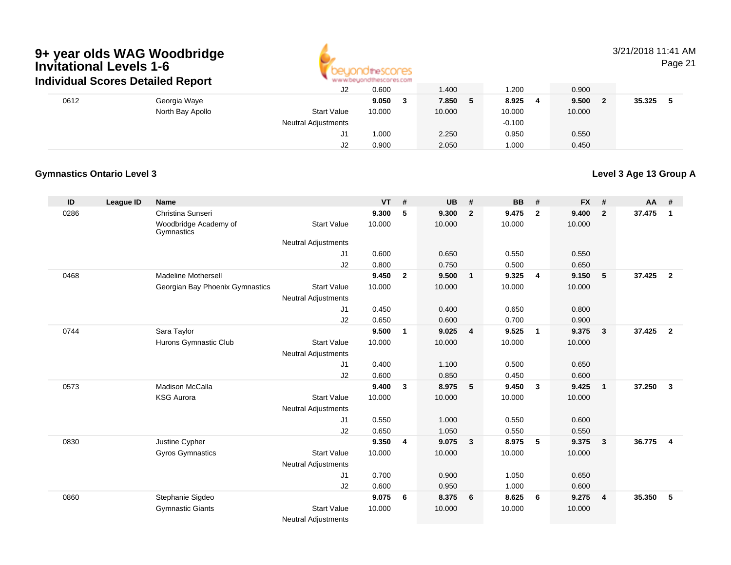

# 3/21/2018 11:41 AM

Page 21

|      | ingividual Scores Detailed Report |                            | ARE ARE ARRAINED FOR THE SECTION ASSOCIATES. |        |          |     |        |        |  |
|------|-----------------------------------|----------------------------|----------------------------------------------|--------|----------|-----|--------|--------|--|
|      |                                   | J2                         | 0.600                                        | 1.400  | 1.200    |     | 0.900  |        |  |
| 0612 | Georgia Waye                      |                            | 9.050                                        | 7.850  | 8.925    | - 4 | 9.500  | 35.325 |  |
|      | North Bay Apollo                  | <b>Start Value</b>         | 10.000                                       | 10.000 | 10.000   |     | 10.000 |        |  |
|      |                                   | <b>Neutral Adjustments</b> |                                              |        | $-0.100$ |     |        |        |  |
|      |                                   | J1                         | 1.000                                        | 2.250  | 0.950    |     | 0.550  |        |  |
|      |                                   | J2                         | 0.900                                        | 2.050  | 1.000    |     | 0.450  |        |  |

# **Gymnastics Ontario Level 3**

**Level 3 Age 13 Group A**

| ID   | League ID | <b>Name</b>                         |                            | <b>VT</b> | #              | <b>UB</b> | #              | <b>BB</b> | #              | <b>FX</b> | #              | AA     | #              |
|------|-----------|-------------------------------------|----------------------------|-----------|----------------|-----------|----------------|-----------|----------------|-----------|----------------|--------|----------------|
| 0286 |           | Christina Sunseri                   |                            | 9.300     | 5              | 9.300     | $\overline{2}$ | 9.475     | $\overline{2}$ | 9.400     | $\overline{2}$ | 37.475 | $\overline{1}$ |
|      |           | Woodbridge Academy of<br>Gymnastics | <b>Start Value</b>         | 10.000    |                | 10.000    |                | 10.000    |                | 10.000    |                |        |                |
|      |           |                                     | <b>Neutral Adjustments</b> |           |                |           |                |           |                |           |                |        |                |
|      |           |                                     | J1                         | 0.600     |                | 0.650     |                | 0.550     |                | 0.550     |                |        |                |
|      |           |                                     | J2                         | 0.800     |                | 0.750     |                | 0.500     |                | 0.650     |                |        |                |
| 0468 |           | <b>Madeline Mothersell</b>          |                            | 9.450     | $\overline{2}$ | 9.500     | $\mathbf{1}$   | 9.325     | $\overline{4}$ | 9.150     | 5              | 37.425 | $\overline{2}$ |
|      |           | Georgian Bay Phoenix Gymnastics     | <b>Start Value</b>         | 10.000    |                | 10.000    |                | 10.000    |                | 10.000    |                |        |                |
|      |           |                                     | <b>Neutral Adjustments</b> |           |                |           |                |           |                |           |                |        |                |
|      |           |                                     | J1                         | 0.450     |                | 0.400     |                | 0.650     |                | 0.800     |                |        |                |
|      |           |                                     | J2                         | 0.650     |                | 0.600     |                | 0.700     |                | 0.900     |                |        |                |
| 0744 |           | Sara Taylor                         |                            | 9.500     | $\mathbf{1}$   | 9.025     | $\overline{4}$ | 9.525     | $\overline{1}$ | 9.375     | $\mathbf{3}$   | 37.425 | $\overline{2}$ |
|      |           | Hurons Gymnastic Club               | <b>Start Value</b>         | 10.000    |                | 10.000    |                | 10.000    |                | 10.000    |                |        |                |
|      |           |                                     | Neutral Adjustments        |           |                |           |                |           |                |           |                |        |                |
|      |           |                                     | J1                         | 0.400     |                | 1.100     |                | 0.500     |                | 0.650     |                |        |                |
|      |           |                                     | J2                         | 0.600     |                | 0.850     |                | 0.450     |                | 0.600     |                |        |                |
| 0573 |           | <b>Madison McCalla</b>              |                            | 9.400     | 3              | 8.975     | 5              | 9.450     | $\mathbf{3}$   | 9.425     | $\mathbf{1}$   | 37.250 | $\mathbf{3}$   |
|      |           | <b>KSG Aurora</b>                   | <b>Start Value</b>         | 10.000    |                | 10.000    |                | 10.000    |                | 10.000    |                |        |                |
|      |           |                                     | <b>Neutral Adjustments</b> |           |                |           |                |           |                |           |                |        |                |
|      |           |                                     | J1                         | 0.550     |                | 1.000     |                | 0.550     |                | 0.600     |                |        |                |
|      |           |                                     | J2                         | 0.650     |                | 1.050     |                | 0.550     |                | 0.550     |                |        |                |
| 0830 |           | Justine Cypher                      |                            | 9.350     | 4              | 9.075     | $\mathbf{3}$   | 8.975     | 5              | 9.375     | $\mathbf{3}$   | 36.775 | $\overline{4}$ |
|      |           | <b>Gyros Gymnastics</b>             | <b>Start Value</b>         | 10.000    |                | 10.000    |                | 10.000    |                | 10.000    |                |        |                |
|      |           |                                     | <b>Neutral Adjustments</b> |           |                |           |                |           |                |           |                |        |                |
|      |           |                                     | J1                         | 0.700     |                | 0.900     |                | 1.050     |                | 0.650     |                |        |                |
|      |           |                                     | J2                         | 0.600     |                | 0.950     |                | 1.000     |                | 0.600     |                |        |                |
| 0860 |           | Stephanie Sigdeo                    |                            | 9.075     | 6              | 8.375     | 6              | 8.625     | 6              | 9.275     | $\overline{4}$ | 35.350 | 5              |
|      |           | <b>Gymnastic Giants</b>             | <b>Start Value</b>         | 10.000    |                | 10.000    |                | 10.000    |                | 10.000    |                |        |                |
|      |           |                                     | <b>Neutral Adjustments</b> |           |                |           |                |           |                |           |                |        |                |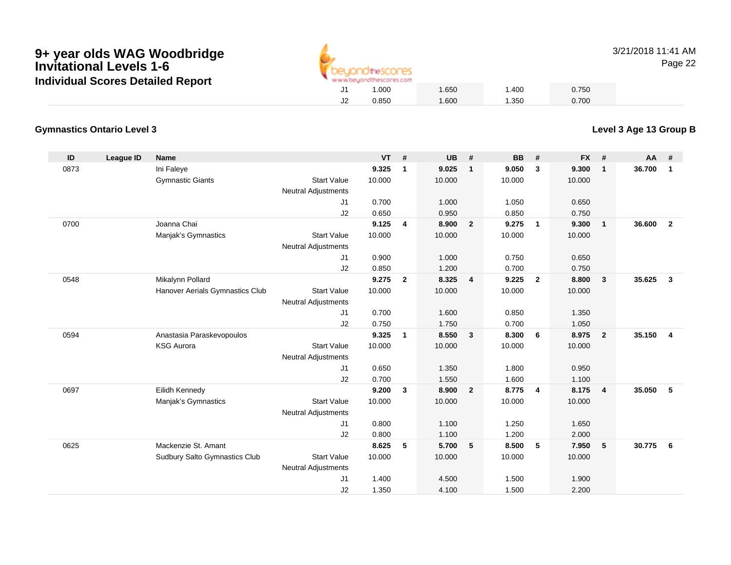

3/21/2018 11:41 AMPage 22

# **Gymnastics Ontario Level 3**

| ID   | <b>League ID</b> | <b>Name</b>                     |                            | <b>VT</b> | #              | <b>UB</b> | #                       | <b>BB</b> | #                       | <b>FX</b> | #              | AA     | #              |
|------|------------------|---------------------------------|----------------------------|-----------|----------------|-----------|-------------------------|-----------|-------------------------|-----------|----------------|--------|----------------|
| 0873 |                  | Ini Faleye                      |                            | 9.325     | $\mathbf{1}$   | 9.025     | $\overline{1}$          | 9.050     | 3                       | 9.300     | $\mathbf{1}$   | 36.700 | $\mathbf{1}$   |
|      |                  | <b>Gymnastic Giants</b>         | <b>Start Value</b>         | 10.000    |                | 10.000    |                         | 10.000    |                         | 10.000    |                |        |                |
|      |                  |                                 | <b>Neutral Adjustments</b> |           |                |           |                         |           |                         |           |                |        |                |
|      |                  |                                 | J <sub>1</sub>             | 0.700     |                | 1.000     |                         | 1.050     |                         | 0.650     |                |        |                |
|      |                  |                                 | J2                         | 0.650     |                | 0.950     |                         | 0.850     |                         | 0.750     |                |        |                |
| 0700 |                  | Joanna Chai                     |                            | 9.125     | 4              | 8.900     | $\overline{\mathbf{2}}$ | 9.275     | $\overline{\mathbf{1}}$ | 9.300     | $\mathbf{1}$   | 36.600 | $\overline{2}$ |
|      |                  | Manjak's Gymnastics             | <b>Start Value</b>         | 10.000    |                | 10.000    |                         | 10.000    |                         | 10.000    |                |        |                |
|      |                  |                                 | <b>Neutral Adjustments</b> |           |                |           |                         |           |                         |           |                |        |                |
|      |                  |                                 | J <sub>1</sub>             | 0.900     |                | 1.000     |                         | 0.750     |                         | 0.650     |                |        |                |
|      |                  |                                 | J2                         | 0.850     |                | 1.200     |                         | 0.700     |                         | 0.750     |                |        |                |
| 0548 |                  | Mikalynn Pollard                |                            | 9.275     | $\overline{2}$ | 8.325     | $\overline{4}$          | 9.225     | $\overline{2}$          | 8.800     | $\mathbf{3}$   | 35.625 | $\mathbf{3}$   |
|      |                  | Hanover Aerials Gymnastics Club | <b>Start Value</b>         | 10.000    |                | 10.000    |                         | 10.000    |                         | 10.000    |                |        |                |
|      |                  |                                 | <b>Neutral Adjustments</b> |           |                |           |                         |           |                         |           |                |        |                |
|      |                  |                                 | J <sub>1</sub>             | 0.700     |                | 1.600     |                         | 0.850     |                         | 1.350     |                |        |                |
|      |                  |                                 | J2                         | 0.750     |                | 1.750     |                         | 0.700     |                         | 1.050     |                |        |                |
| 0594 |                  | Anastasia Paraskevopoulos       |                            | 9.325     | $\overline{1}$ | 8.550     | $\overline{\mathbf{3}}$ | 8.300     | 6                       | 8.975     | $\overline{2}$ | 35.150 | $\overline{4}$ |
|      |                  | <b>KSG Aurora</b>               | <b>Start Value</b>         | 10.000    |                | 10.000    |                         | 10.000    |                         | 10.000    |                |        |                |
|      |                  |                                 | <b>Neutral Adjustments</b> |           |                |           |                         |           |                         |           |                |        |                |
|      |                  |                                 | J1                         | 0.650     |                | 1.350     |                         | 1.800     |                         | 0.950     |                |        |                |
|      |                  |                                 | J2                         | 0.700     |                | 1.550     |                         | 1.600     |                         | 1.100     |                |        |                |
| 0697 |                  | Eilidh Kennedy                  |                            | 9.200     | $\mathbf{3}$   | 8.900     | $\overline{\mathbf{2}}$ | 8.775     | $\overline{4}$          | 8.175     | $\overline{4}$ | 35.050 | 5              |
|      |                  | Manjak's Gymnastics             | <b>Start Value</b>         | 10.000    |                | 10.000    |                         | 10.000    |                         | 10.000    |                |        |                |
|      |                  |                                 | <b>Neutral Adjustments</b> |           |                |           |                         |           |                         |           |                |        |                |
|      |                  |                                 | J1                         | 0.800     |                | 1.100     |                         | 1.250     |                         | 1.650     |                |        |                |
|      |                  |                                 | J2                         | 0.800     |                | 1.100     |                         | 1.200     |                         | 2.000     |                |        |                |
| 0625 |                  | Mackenzie St. Amant             |                            | 8.625     | 5              | 5.700     | 5                       | 8.500     | 5                       | 7.950     | 5              | 30.775 | 6              |
|      |                  | Sudbury Salto Gymnastics Club   | <b>Start Value</b>         | 10.000    |                | 10.000    |                         | 10.000    |                         | 10.000    |                |        |                |
|      |                  |                                 | <b>Neutral Adjustments</b> |           |                |           |                         |           |                         |           |                |        |                |
|      |                  |                                 | J1                         | 1.400     |                | 4.500     |                         | 1.500     |                         | 1.900     |                |        |                |
|      |                  |                                 | J2                         | 1.350     |                | 4.100     |                         | 1.500     |                         | 2.200     |                |        |                |

# **Level 3 Age 13 Group B**